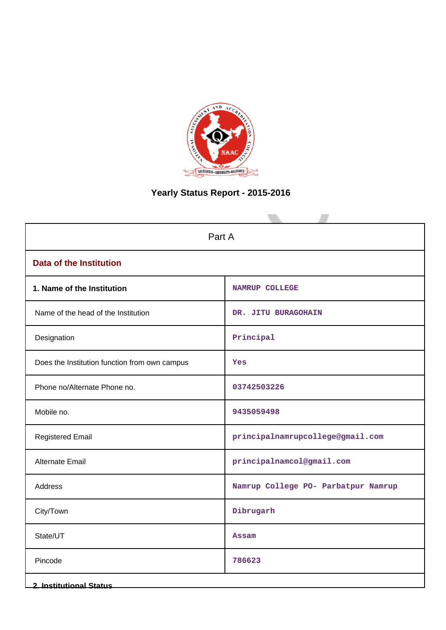

# **Yearly Status Report - 2015-2016**

| Part A                                        |                                     |  |  |
|-----------------------------------------------|-------------------------------------|--|--|
| <b>Data of the Institution</b>                |                                     |  |  |
| 1. Name of the Institution                    | <b>NAMRUP COLLEGE</b>               |  |  |
| Name of the head of the Institution           | DR. JITU BURAGOHAIN                 |  |  |
| Designation                                   | Principal                           |  |  |
| Does the Institution function from own campus | Yes                                 |  |  |
| Phone no/Alternate Phone no.                  | 03742503226                         |  |  |
| Mobile no.                                    | 9435059498                          |  |  |
| <b>Registered Email</b>                       | principalnamrupcollege@gmail.com    |  |  |
| Alternate Email                               | principalnamcol@gmail.com           |  |  |
| Address                                       | Namrup College PO- Parbatpur Namrup |  |  |
| City/Town                                     | Dibrugarh                           |  |  |
| State/UT                                      | <b>Assam</b>                        |  |  |
| Pincode                                       | 786623                              |  |  |
| <b>2. Institutional Status</b>                |                                     |  |  |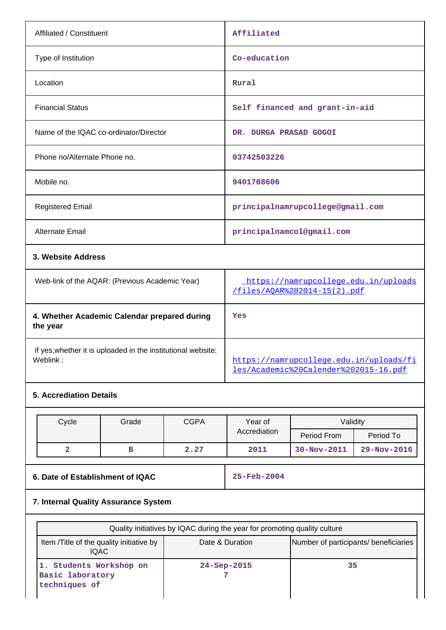| Affiliated / Constituent                                 | Affiliated                                                           |
|----------------------------------------------------------|----------------------------------------------------------------------|
| Type of Institution                                      | Co-education                                                         |
| Location                                                 | Rural                                                                |
| <b>Financial Status</b>                                  | Self financed and grant-in-aid                                       |
| Name of the IQAC co-ordinator/Director                   | DR. DURGA PRASAD GOGOI                                               |
| Phone no/Alternate Phone no.                             | 03742503226                                                          |
| Mobile no.                                               | 9401708606                                                           |
| <b>Registered Email</b>                                  | principalnamrupcollege@gmail.com                                     |
| <b>Alternate Email</b>                                   | principalnamcol@gmail.com                                            |
| 3. Website Address                                       |                                                                      |
| Web-link of the AQAR: (Previous Academic Year)           | https://namrupcollege.edu.in/uploads<br>/files/AOAR%202014-15(2).pdf |
| 4. Whether Academic Calendar prepared during<br>the year | Yes                                                                  |

if yes,whether it is uploaded in the institutional website:

# **5. Accrediation Details**

| Cycle | Grade | <b>CGPA</b> | Year of      | Validity          |                   |
|-------|-------|-------------|--------------|-------------------|-------------------|
|       |       |             | Accrediation | Period From       | Period To         |
|       | в     | 2.27        | 2011         | $30 - Nov - 2011$ | $29 - Nov - 2016$ |

**6. Date of Establishment of IQAC 25-Feb-2004**

[https://namrupcollege.edu.in/uploads/fi](https://namrupcollege.edu.in/uploads/files/Academic%20Calender%202015-16.pdf) [les/Academic%20Calender%202015-16.pdf](https://namrupcollege.edu.in/uploads/files/Academic%20Calender%202015-16.pdf)

# **7. Internal Quality Assurance System**

| Quality initiatives by IQAC during the year for promoting quality culture                                      |                   |    |  |  |
|----------------------------------------------------------------------------------------------------------------|-------------------|----|--|--|
| Number of participants/ beneficiaries<br>Item / Title of the quality initiative by<br>Date & Duration<br>IQAC. |                   |    |  |  |
| 1. Students Workshop on<br>Basic laboratory<br>techniques of                                                   | $24 - Sep - 2015$ | 35 |  |  |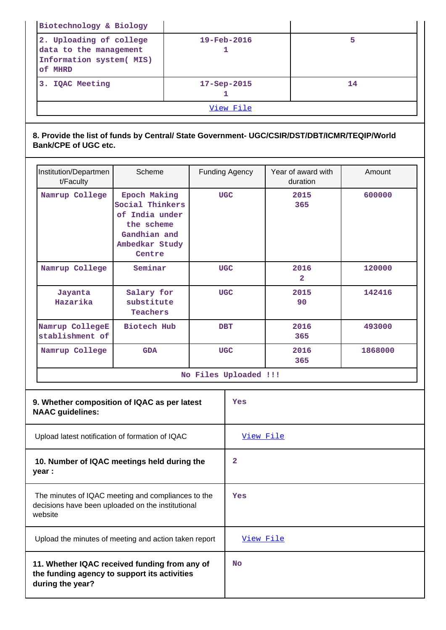| View File                                                                                |                   |    |  |  |
|------------------------------------------------------------------------------------------|-------------------|----|--|--|
| <b>IQAC Meeting</b><br>3.                                                                | $17 - Sep - 2015$ | 14 |  |  |
| 2. Uploading of college<br>data to the management<br>Information system( MIS)<br>of MHRD | 5                 |    |  |  |
| Biotechnology & Biology                                                                  |                   |    |  |  |

# **8. Provide the list of funds by Central/ State Government- UGC/CSIR/DST/DBT/ICMR/TEQIP/World Bank/CPE of UGC etc.**

| Institution/Departmen<br>t/Faculty | Scheme                                                                                                      | <b>Funding Agency</b> | Year of award with<br>duration | Amount  |  |
|------------------------------------|-------------------------------------------------------------------------------------------------------------|-----------------------|--------------------------------|---------|--|
| Namrup College                     | Epoch Making<br>Social Thinkers<br>of India under<br>the scheme<br>Gandhian and<br>Ambedkar Study<br>Centre | <b>UGC</b>            | 2015<br>365                    | 600000  |  |
| Namrup College                     | Seminar                                                                                                     | <b>UGC</b>            | 2016<br>$\mathbf{z}$           | 120000  |  |
| Jayanta<br>Hazarika                | Salary for<br>substitute<br>Teachers                                                                        | <b>UGC</b>            | 2015<br>90                     | 142416  |  |
| Namrup CollegeE<br>stablishment of | Biotech Hub                                                                                                 | <b>DBT</b>            | 2016<br>365                    | 493000  |  |
| Namrup College                     | <b>GDA</b>                                                                                                  | <b>UGC</b>            | 2016<br>365                    | 1868000 |  |
| No Files Uploaded !!!              |                                                                                                             |                       |                                |         |  |

| 9. Whether composition of IQAC as per latest<br><b>NAAC</b> guidelines:                                            | Yes              |
|--------------------------------------------------------------------------------------------------------------------|------------------|
| Upload latest notification of formation of IQAC                                                                    | <u>View File</u> |
| 10. Number of IQAC meetings held during the<br>year :                                                              | 2                |
| The minutes of IQAC meeting and compliances to the<br>decisions have been uploaded on the institutional<br>website | Yes              |
| Upload the minutes of meeting and action taken report                                                              | View File        |
| 11. Whether IQAC received funding from any of<br>the funding agency to support its activities<br>during the year?  | <b>No</b>        |

T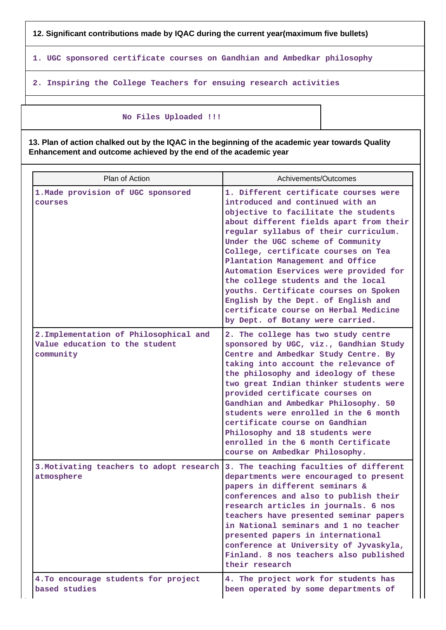**12. Significant contributions made by IQAC during the current year(maximum five bullets)**

**1. UGC sponsored certificate courses on Gandhian and Ambedkar philosophy**

**2. Inspiring the College Teachers for ensuing research activities**

### **No Files Uploaded !!!**

**13. Plan of action chalked out by the IQAC in the beginning of the academic year towards Quality Enhancement and outcome achieved by the end of the academic year**

| Plan of Action                                                                        | Achivements/Outcomes                                                                                                                                                                                                                                                                                                                                                                                                                                                                                                                                               |
|---------------------------------------------------------------------------------------|--------------------------------------------------------------------------------------------------------------------------------------------------------------------------------------------------------------------------------------------------------------------------------------------------------------------------------------------------------------------------------------------------------------------------------------------------------------------------------------------------------------------------------------------------------------------|
| 1. Made provision of UGC sponsored<br>courses                                         | 1. Different certificate courses were<br>introduced and continued with an<br>objective to facilitate the students<br>about different fields apart from their<br>regular syllabus of their curriculum.<br>Under the UGC scheme of Community<br>College, certificate courses on Tea<br>Plantation Management and Office<br>Automation Eservices were provided for<br>the college students and the local<br>youths. Certificate courses on Spoken<br>English by the Dept. of English and<br>certificate course on Herbal Medicine<br>by Dept. of Botany were carried. |
| 2. Implementation of Philosophical and<br>Value education to the student<br>community | 2. The college has two study centre<br>sponsored by UGC, viz., Gandhian Study<br>Centre and Ambedkar Study Centre. By<br>taking into account the relevance of<br>the philosophy and ideology of these<br>two great Indian thinker students were<br>provided certificate courses on<br>Gandhian and Ambedkar Philosophy. 50<br>students were enrolled in the 6 month<br>certificate course on Gandhian<br>Philosophy and 18 students were<br>enrolled in the 6 month Certificate<br>course on Ambedkar Philosophy.                                                  |
| 3. Motivating teachers to adopt research<br>atmosphere                                | 3. The teaching faculties of different<br>departments were encouraged to present<br>papers in different seminars &<br>conferences and also to publish their<br>research articles in journals. 6 nos<br>teachers have presented seminar papers<br>in National seminars and 1 no teacher<br>presented papers in international<br>conference at University of Jyvaskyla,<br>Finland. 8 nos teachers also published<br>their research                                                                                                                                  |
| 4. To encourage students for project<br>based studies                                 | 4. The project work for students has<br>been operated by some departments of                                                                                                                                                                                                                                                                                                                                                                                                                                                                                       |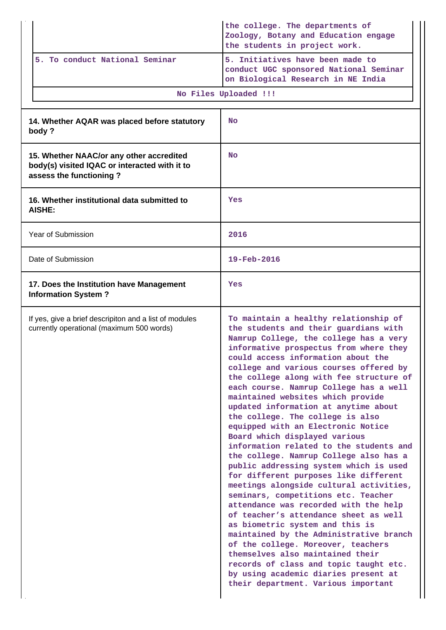|                                                                                                                      | the college. The departments of<br>Zoology, Botany and Education engage<br>the students in project work.                                                                                                                                                                                                                                                                                                                                                                                                                                                                                                                                                                                                                                                                                                                                                                                                                                                                                                                                                                                                                                                     |
|----------------------------------------------------------------------------------------------------------------------|--------------------------------------------------------------------------------------------------------------------------------------------------------------------------------------------------------------------------------------------------------------------------------------------------------------------------------------------------------------------------------------------------------------------------------------------------------------------------------------------------------------------------------------------------------------------------------------------------------------------------------------------------------------------------------------------------------------------------------------------------------------------------------------------------------------------------------------------------------------------------------------------------------------------------------------------------------------------------------------------------------------------------------------------------------------------------------------------------------------------------------------------------------------|
| 5. To conduct National Seminar                                                                                       | 5. Initiatives have been made to<br>conduct UGC sponsored National Seminar<br>on Biological Research in NE India                                                                                                                                                                                                                                                                                                                                                                                                                                                                                                                                                                                                                                                                                                                                                                                                                                                                                                                                                                                                                                             |
|                                                                                                                      | No Files Uploaded !!!                                                                                                                                                                                                                                                                                                                                                                                                                                                                                                                                                                                                                                                                                                                                                                                                                                                                                                                                                                                                                                                                                                                                        |
| 14. Whether AQAR was placed before statutory<br>body?                                                                | <b>No</b>                                                                                                                                                                                                                                                                                                                                                                                                                                                                                                                                                                                                                                                                                                                                                                                                                                                                                                                                                                                                                                                                                                                                                    |
| 15. Whether NAAC/or any other accredited<br>body(s) visited IQAC or interacted with it to<br>assess the functioning? | <b>No</b>                                                                                                                                                                                                                                                                                                                                                                                                                                                                                                                                                                                                                                                                                                                                                                                                                                                                                                                                                                                                                                                                                                                                                    |
| 16. Whether institutional data submitted to<br>AISHE:                                                                | Yes                                                                                                                                                                                                                                                                                                                                                                                                                                                                                                                                                                                                                                                                                                                                                                                                                                                                                                                                                                                                                                                                                                                                                          |
| Year of Submission                                                                                                   | 2016                                                                                                                                                                                                                                                                                                                                                                                                                                                                                                                                                                                                                                                                                                                                                                                                                                                                                                                                                                                                                                                                                                                                                         |
| Date of Submission                                                                                                   | $19 - \text{Feb} - 2016$                                                                                                                                                                                                                                                                                                                                                                                                                                                                                                                                                                                                                                                                                                                                                                                                                                                                                                                                                                                                                                                                                                                                     |
| 17. Does the Institution have Management<br><b>Information System?</b>                                               | Yes                                                                                                                                                                                                                                                                                                                                                                                                                                                                                                                                                                                                                                                                                                                                                                                                                                                                                                                                                                                                                                                                                                                                                          |
| If yes, give a brief descripiton and a list of modules<br>currently operational (maximum 500 words)                  | To maintain a healthy relationship of<br>the students and their guardians with<br>Namrup College, the college has a very<br>informative prospectus from where they<br>could access information about the<br>college and various courses offered by<br>the college along with fee structure of<br>each course. Namrup College has a well<br>maintained websites which provide<br>updated information at anytime about<br>the college. The college is also<br>equipped with an Electronic Notice<br>Board which displayed various<br>information related to the students and<br>the college. Namrup College also has a<br>public addressing system which is used<br>for different purposes like different<br>meetings alongside cultural activities,<br>seminars, competitions etc. Teacher<br>attendance was recorded with the help<br>of teacher's attendance sheet as well<br>as biometric system and this is<br>maintained by the Administrative branch<br>of the college. Moreover, teachers<br>themselves also maintained their<br>records of class and topic taught etc.<br>by using academic diaries present at<br>their department. Various important |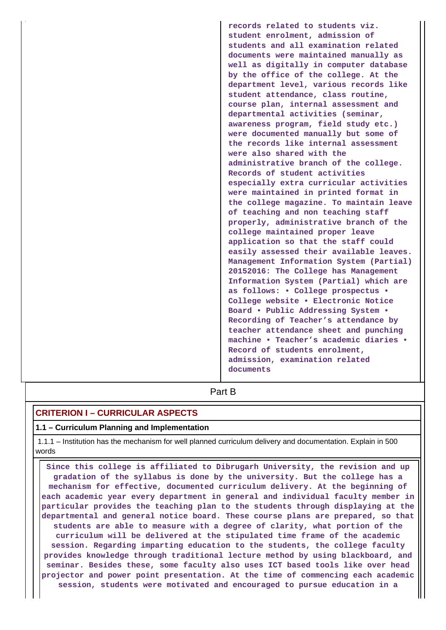**records related to students viz. student enrolment, admission of students and all examination related documents were maintained manually as well as digitally in computer database by the office of the college. At the department level, various records like student attendance, class routine, course plan, internal assessment and departmental activities (seminar, awareness program, field study etc.) were documented manually but some of the records like internal assessment were also shared with the administrative branch of the college. Records of student activities especially extra curricular activities were maintained in printed format in the college magazine. To maintain leave of teaching and non teaching staff properly, administrative branch of the college maintained proper leave application so that the staff could easily assessed their available leaves. Management Information System (Partial) 20152016: The College has Management Information System (Partial) which are as follows: • College prospectus • College website • Electronic Notice Board • Public Addressing System • Recording of Teacher's attendance by teacher attendance sheet and punching machine • Teacher's academic diaries • Record of students enrolment, admission, examination related documents**

# **Part B**

# **CRITERION I – CURRICULAR ASPECTS**

### **1.1 – Curriculum Planning and Implementation**

 1.1.1 – Institution has the mechanism for well planned curriculum delivery and documentation. Explain in 500 words

 **Since this college is affiliated to Dibrugarh University, the revision and up gradation of the syllabus is done by the university. But the college has a mechanism for effective, documented curriculum delivery. At the beginning of each academic year every department in general and individual faculty member in particular provides the teaching plan to the students through displaying at the departmental and general notice board. These course plans are prepared, so that students are able to measure with a degree of clarity, what portion of the curriculum will be delivered at the stipulated time frame of the academic session. Regarding imparting education to the students, the college faculty provides knowledge through traditional lecture method by using blackboard, and seminar. Besides these, some faculty also uses ICT based tools like over head projector and power point presentation. At the time of commencing each academic session, students were motivated and encouraged to pursue education in a**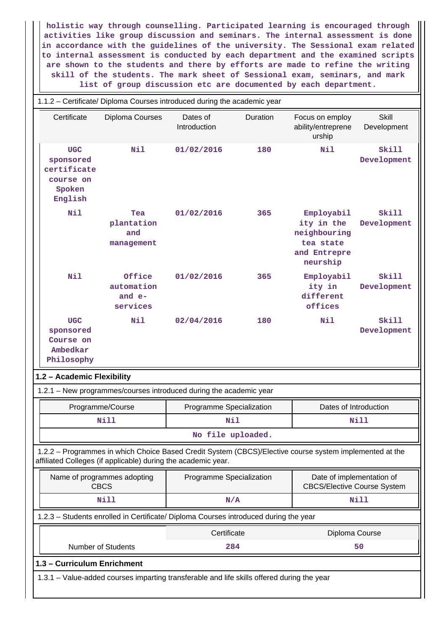**holistic way through counselling. Participated learning is encouraged through activities like group discussion and seminars. The internal assessment is done in accordance with the guidelines of the university. The Sessional exam related to internal assessment is conducted by each department and the examined scripts are shown to the students and there by efforts are made to refine the writing skill of the students. The mark sheet of Sessional exam, seminars, and mark list of group discussion etc are documented by each department.**

|                                                                          | 1.1.2 - Certificate/ Diploma Courses introduced during the academic year                   |                          |          |                                                                                                         |                             |  |
|--------------------------------------------------------------------------|--------------------------------------------------------------------------------------------|--------------------------|----------|---------------------------------------------------------------------------------------------------------|-----------------------------|--|
| Certificate                                                              | Diploma Courses                                                                            | Dates of<br>Introduction | Duration | Focus on employ<br>ability/entreprene<br>urship                                                         | <b>Skill</b><br>Development |  |
| <b>UGC</b><br>sponsored<br>certificate<br>course on<br>Spoken<br>English | Nil                                                                                        | 01/02/2016               | 180      | Nil                                                                                                     | Skill<br>Development        |  |
| Nil                                                                      | Tea<br>plantation<br>and<br>management                                                     | 01/02/2016               | 365      | Employabil<br>ity in the<br>neighbouring<br>tea state<br>and Entrepre<br>neurship                       | Skill<br>Development        |  |
| Nil                                                                      | Office<br>automation<br>and $e-$<br>services                                               | 01/02/2016               | 365      | Employabil<br>ity in<br>different<br>offices                                                            | Ski11<br>Development        |  |
| <b>UGC</b><br>sponsored<br>Course on<br>Ambedkar<br>Philosophy           | Nil                                                                                        | 02/04/2016               | 180      | Nil                                                                                                     | Skill<br>Development        |  |
| 1.2 - Academic Flexibility                                               |                                                                                            |                          |          |                                                                                                         |                             |  |
|                                                                          | 1.2.1 - New programmes/courses introduced during the academic year                         |                          |          |                                                                                                         |                             |  |
|                                                                          | Programme/Course                                                                           | Programme Specialization |          | Dates of Introduction                                                                                   |                             |  |
|                                                                          | <b>Nill</b>                                                                                | Nil                      |          |                                                                                                         | Nill                        |  |
|                                                                          |                                                                                            | No file uploaded.        |          |                                                                                                         |                             |  |
|                                                                          | affiliated Colleges (if applicable) during the academic year.                              |                          |          | 1.2.2 - Programmes in which Choice Based Credit System (CBCS)/Elective course system implemented at the |                             |  |
| Name of programmes adopting<br><b>CBCS</b>                               |                                                                                            | Programme Specialization |          | Date of implementation of<br><b>CBCS/Elective Course System</b>                                         |                             |  |
|                                                                          | <b>Nill</b>                                                                                |                          | N/A      |                                                                                                         | <b>Nill</b>                 |  |
|                                                                          | 1.2.3 - Students enrolled in Certificate/ Diploma Courses introduced during the year       |                          |          |                                                                                                         |                             |  |
|                                                                          |                                                                                            | Certificate              |          | Diploma Course                                                                                          |                             |  |
|                                                                          | <b>Number of Students</b>                                                                  | 284                      |          |                                                                                                         | 50                          |  |
| 1.3 - Curriculum Enrichment                                              |                                                                                            |                          |          |                                                                                                         |                             |  |
|                                                                          | 1.3.1 - Value-added courses imparting transferable and life skills offered during the year |                          |          |                                                                                                         |                             |  |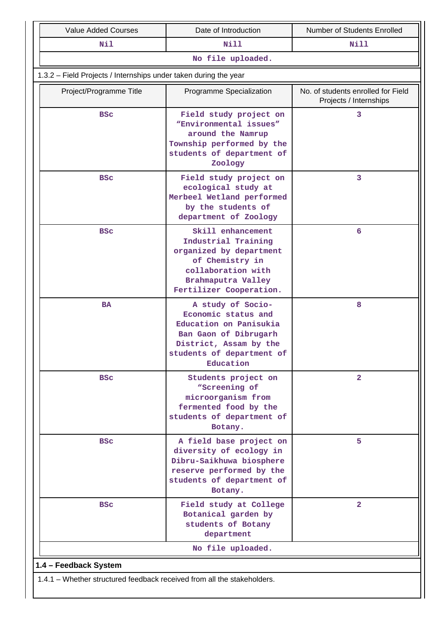| <b>Nill</b><br>Nil<br><b>Nill</b><br>No file uploaded.<br>1.3.2 - Field Projects / Internships under taken during the year<br>Project/Programme Title<br>Programme Specialization<br>Projects / Internships<br>Field study project on<br>3<br><b>BSC</b><br>"Environmental issues"<br>around the Namrup<br>Township performed by the<br>students of department of<br>Zoology<br>3<br>Field study project on<br><b>BSC</b><br>ecological study at<br>Merbeel Wetland performed<br>by the students of<br>department of Zoology<br>Skill enhancement<br>6<br><b>BSC</b><br>Industrial Training<br>organized by department<br>of Chemistry in<br>collaboration with<br>Brahmaputra Valley<br>Fertilizer Cooperation.<br>8<br>A study of Socio-<br><b>BA</b><br>Economic status and<br>Education on Panisukia<br>Ban Gaon of Dibrugarh<br>District, Assam by the<br>students of department of<br>Education<br>$\overline{2}$<br><b>BSC</b><br>Students project on<br>"Screening of<br>microorganism from<br>fermented food by the<br>students of department of<br>Botany.<br>5<br><b>BSC</b><br>A field base project on<br>diversity of ecology in<br>Dibru-Saikhuwa biosphere<br>reserve performed by the<br>students of department of<br>Botany.<br>$\overline{2}$<br><b>BSC</b><br>Field study at College<br>Botanical garden by<br>students of Botany | <b>Value Added Courses</b> | Date of Introduction | Number of Students Enrolled        |
|------------------------------------------------------------------------------------------------------------------------------------------------------------------------------------------------------------------------------------------------------------------------------------------------------------------------------------------------------------------------------------------------------------------------------------------------------------------------------------------------------------------------------------------------------------------------------------------------------------------------------------------------------------------------------------------------------------------------------------------------------------------------------------------------------------------------------------------------------------------------------------------------------------------------------------------------------------------------------------------------------------------------------------------------------------------------------------------------------------------------------------------------------------------------------------------------------------------------------------------------------------------------------------------------------------------------------------------------------|----------------------------|----------------------|------------------------------------|
|                                                                                                                                                                                                                                                                                                                                                                                                                                                                                                                                                                                                                                                                                                                                                                                                                                                                                                                                                                                                                                                                                                                                                                                                                                                                                                                                                      |                            |                      |                                    |
|                                                                                                                                                                                                                                                                                                                                                                                                                                                                                                                                                                                                                                                                                                                                                                                                                                                                                                                                                                                                                                                                                                                                                                                                                                                                                                                                                      |                            |                      |                                    |
|                                                                                                                                                                                                                                                                                                                                                                                                                                                                                                                                                                                                                                                                                                                                                                                                                                                                                                                                                                                                                                                                                                                                                                                                                                                                                                                                                      |                            |                      |                                    |
|                                                                                                                                                                                                                                                                                                                                                                                                                                                                                                                                                                                                                                                                                                                                                                                                                                                                                                                                                                                                                                                                                                                                                                                                                                                                                                                                                      |                            |                      | No. of students enrolled for Field |
|                                                                                                                                                                                                                                                                                                                                                                                                                                                                                                                                                                                                                                                                                                                                                                                                                                                                                                                                                                                                                                                                                                                                                                                                                                                                                                                                                      |                            |                      |                                    |
|                                                                                                                                                                                                                                                                                                                                                                                                                                                                                                                                                                                                                                                                                                                                                                                                                                                                                                                                                                                                                                                                                                                                                                                                                                                                                                                                                      |                            |                      |                                    |
|                                                                                                                                                                                                                                                                                                                                                                                                                                                                                                                                                                                                                                                                                                                                                                                                                                                                                                                                                                                                                                                                                                                                                                                                                                                                                                                                                      |                            |                      |                                    |
|                                                                                                                                                                                                                                                                                                                                                                                                                                                                                                                                                                                                                                                                                                                                                                                                                                                                                                                                                                                                                                                                                                                                                                                                                                                                                                                                                      |                            |                      |                                    |
|                                                                                                                                                                                                                                                                                                                                                                                                                                                                                                                                                                                                                                                                                                                                                                                                                                                                                                                                                                                                                                                                                                                                                                                                                                                                                                                                                      |                            |                      |                                    |
|                                                                                                                                                                                                                                                                                                                                                                                                                                                                                                                                                                                                                                                                                                                                                                                                                                                                                                                                                                                                                                                                                                                                                                                                                                                                                                                                                      |                            |                      |                                    |
| department                                                                                                                                                                                                                                                                                                                                                                                                                                                                                                                                                                                                                                                                                                                                                                                                                                                                                                                                                                                                                                                                                                                                                                                                                                                                                                                                           |                            |                      |                                    |
| No file uploaded.                                                                                                                                                                                                                                                                                                                                                                                                                                                                                                                                                                                                                                                                                                                                                                                                                                                                                                                                                                                                                                                                                                                                                                                                                                                                                                                                    |                            |                      |                                    |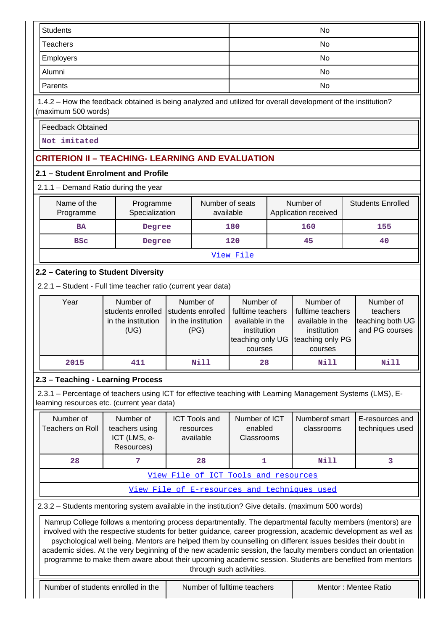| <b>Students</b>                                                                                                                                                                                                                                                                                                                                                                                                                                                                                                                                                                                    |                                                              |                                                                                                                                                                                                                                                                                                                                     |    | No                                     |  |                                   |                                    |
|----------------------------------------------------------------------------------------------------------------------------------------------------------------------------------------------------------------------------------------------------------------------------------------------------------------------------------------------------------------------------------------------------------------------------------------------------------------------------------------------------------------------------------------------------------------------------------------------------|--------------------------------------------------------------|-------------------------------------------------------------------------------------------------------------------------------------------------------------------------------------------------------------------------------------------------------------------------------------------------------------------------------------|----|----------------------------------------|--|-----------------------------------|------------------------------------|
| <b>Teachers</b>                                                                                                                                                                                                                                                                                                                                                                                                                                                                                                                                                                                    |                                                              |                                                                                                                                                                                                                                                                                                                                     | No |                                        |  |                                   |                                    |
| Employers                                                                                                                                                                                                                                                                                                                                                                                                                                                                                                                                                                                          |                                                              |                                                                                                                                                                                                                                                                                                                                     | No |                                        |  |                                   |                                    |
| Alumni                                                                                                                                                                                                                                                                                                                                                                                                                                                                                                                                                                                             |                                                              |                                                                                                                                                                                                                                                                                                                                     |    |                                        |  | No                                |                                    |
| Parents                                                                                                                                                                                                                                                                                                                                                                                                                                                                                                                                                                                            |                                                              |                                                                                                                                                                                                                                                                                                                                     |    |                                        |  | No                                |                                    |
| 1.4.2 - How the feedback obtained is being analyzed and utilized for overall development of the institution?<br>(maximum 500 words)                                                                                                                                                                                                                                                                                                                                                                                                                                                                |                                                              |                                                                                                                                                                                                                                                                                                                                     |    |                                        |  |                                   |                                    |
| <b>Feedback Obtained</b>                                                                                                                                                                                                                                                                                                                                                                                                                                                                                                                                                                           |                                                              |                                                                                                                                                                                                                                                                                                                                     |    |                                        |  |                                   |                                    |
| Not imitated                                                                                                                                                                                                                                                                                                                                                                                                                                                                                                                                                                                       |                                                              |                                                                                                                                                                                                                                                                                                                                     |    |                                        |  |                                   |                                    |
| <b>CRITERION II - TEACHING- LEARNING AND EVALUATION</b>                                                                                                                                                                                                                                                                                                                                                                                                                                                                                                                                            |                                                              |                                                                                                                                                                                                                                                                                                                                     |    |                                        |  |                                   |                                    |
| 2.1 - Student Enrolment and Profile                                                                                                                                                                                                                                                                                                                                                                                                                                                                                                                                                                |                                                              |                                                                                                                                                                                                                                                                                                                                     |    |                                        |  |                                   |                                    |
| 2.1.1 - Demand Ratio during the year                                                                                                                                                                                                                                                                                                                                                                                                                                                                                                                                                               |                                                              |                                                                                                                                                                                                                                                                                                                                     |    |                                        |  |                                   |                                    |
| Name of the<br>Programme                                                                                                                                                                                                                                                                                                                                                                                                                                                                                                                                                                           | Programme<br>Specialization                                  |                                                                                                                                                                                                                                                                                                                                     |    | Number of seats<br>available           |  | Number of<br>Application received | <b>Students Enrolled</b>           |
| <b>BA</b>                                                                                                                                                                                                                                                                                                                                                                                                                                                                                                                                                                                          | Degree                                                       |                                                                                                                                                                                                                                                                                                                                     |    | 180                                    |  | 160                               | 155                                |
| <b>BSC</b>                                                                                                                                                                                                                                                                                                                                                                                                                                                                                                                                                                                         | Degree                                                       |                                                                                                                                                                                                                                                                                                                                     |    | 120                                    |  | 45                                | 40                                 |
|                                                                                                                                                                                                                                                                                                                                                                                                                                                                                                                                                                                                    |                                                              |                                                                                                                                                                                                                                                                                                                                     |    | View File                              |  |                                   |                                    |
| 2.2 - Catering to Student Diversity                                                                                                                                                                                                                                                                                                                                                                                                                                                                                                                                                                |                                                              |                                                                                                                                                                                                                                                                                                                                     |    |                                        |  |                                   |                                    |
| 2.2.1 - Student - Full time teacher ratio (current year data)                                                                                                                                                                                                                                                                                                                                                                                                                                                                                                                                      |                                                              |                                                                                                                                                                                                                                                                                                                                     |    |                                        |  |                                   |                                    |
| Year                                                                                                                                                                                                                                                                                                                                                                                                                                                                                                                                                                                               | Number of<br>students enrolled<br>in the institution<br>(UG) | Number of<br>Number of<br>Number of<br>Number of<br>students enrolled<br>fulltime teachers<br>fulltime teachers<br>teachers<br>in the institution<br>available in the<br>teaching both UG<br>available in the<br>and PG courses<br>institution<br>institution<br>(PG)<br>teaching only PG<br>teaching only UG<br>courses<br>courses |    |                                        |  |                                   |                                    |
| 2015                                                                                                                                                                                                                                                                                                                                                                                                                                                                                                                                                                                               | <b>Nill</b><br>411<br>Nill<br>Nill<br>28                     |                                                                                                                                                                                                                                                                                                                                     |    |                                        |  |                                   |                                    |
| 2.3 - Teaching - Learning Process                                                                                                                                                                                                                                                                                                                                                                                                                                                                                                                                                                  |                                                              |                                                                                                                                                                                                                                                                                                                                     |    |                                        |  |                                   |                                    |
| 2.3.1 – Percentage of teachers using ICT for effective teaching with Learning Management Systems (LMS), E-<br>learning resources etc. (current year data)                                                                                                                                                                                                                                                                                                                                                                                                                                          |                                                              |                                                                                                                                                                                                                                                                                                                                     |    |                                        |  |                                   |                                    |
| Number of<br><b>Teachers on Roll</b>                                                                                                                                                                                                                                                                                                                                                                                                                                                                                                                                                               | Number of<br>teachers using<br>ICT (LMS, e-<br>Resources)    | <b>ICT Tools and</b><br>resources<br>available                                                                                                                                                                                                                                                                                      |    | Number of ICT<br>enabled<br>Classrooms |  | Numberof smart<br>classrooms      | E-resources and<br>techniques used |
| 28                                                                                                                                                                                                                                                                                                                                                                                                                                                                                                                                                                                                 | 7                                                            | 28                                                                                                                                                                                                                                                                                                                                  |    | 1<br>Nill<br>3                         |  |                                   |                                    |
|                                                                                                                                                                                                                                                                                                                                                                                                                                                                                                                                                                                                    |                                                              | View File of ICT Tools and resources                                                                                                                                                                                                                                                                                                |    |                                        |  |                                   |                                    |
| View File of E-resources and techniques used                                                                                                                                                                                                                                                                                                                                                                                                                                                                                                                                                       |                                                              |                                                                                                                                                                                                                                                                                                                                     |    |                                        |  |                                   |                                    |
| 2.3.2 - Students mentoring system available in the institution? Give details. (maximum 500 words)                                                                                                                                                                                                                                                                                                                                                                                                                                                                                                  |                                                              |                                                                                                                                                                                                                                                                                                                                     |    |                                        |  |                                   |                                    |
| Namrup College follows a mentoring process departmentally. The departmental faculty members (mentors) are<br>involved with the respective students for better guidance, career progression, academic development as well as<br>psychological well being. Mentors are helped them by counselling on different issues besides their doubt in<br>academic sides. At the very beginning of the new academic session, the faculty members conduct an orientation<br>programme to make them aware about their upcoming academic session. Students are benefited from mentors<br>through such activities. |                                                              |                                                                                                                                                                                                                                                                                                                                     |    |                                        |  |                                   |                                    |
|                                                                                                                                                                                                                                                                                                                                                                                                                                                                                                                                                                                                    | Number of students enrolled in the                           |                                                                                                                                                                                                                                                                                                                                     |    | Number of fulltime teachers            |  |                                   | Mentor: Mentee Ratio               |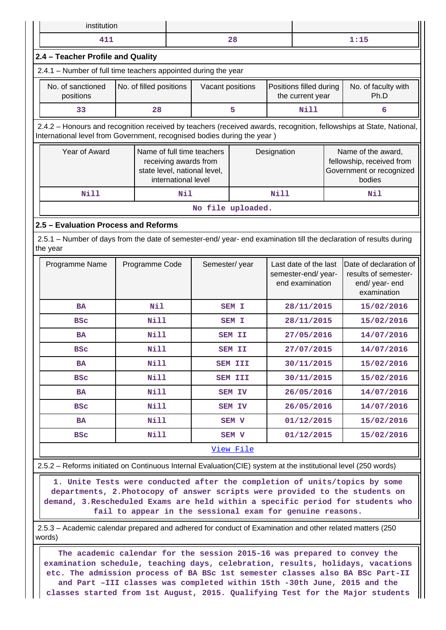|                                   | institution                                                                                                                                                                                     |                     |                                                                                     |                |             |                                                                |            |                                                                                       |  |
|-----------------------------------|-------------------------------------------------------------------------------------------------------------------------------------------------------------------------------------------------|---------------------|-------------------------------------------------------------------------------------|----------------|-------------|----------------------------------------------------------------|------------|---------------------------------------------------------------------------------------|--|
| 411                               |                                                                                                                                                                                                 |                     |                                                                                     | 28             |             |                                                                |            | 1:15                                                                                  |  |
| 2.4 - Teacher Profile and Quality |                                                                                                                                                                                                 |                     |                                                                                     |                |             |                                                                |            |                                                                                       |  |
|                                   | 2.4.1 - Number of full time teachers appointed during the year                                                                                                                                  |                     |                                                                                     |                |             |                                                                |            |                                                                                       |  |
| No. of sanctioned<br>positions    | No. of filled positions                                                                                                                                                                         |                     | Vacant positions                                                                    |                |             | Positions filled during<br>the current year                    |            | No. of faculty with<br>Ph.D                                                           |  |
| 33                                | 28                                                                                                                                                                                              |                     |                                                                                     | 5              |             | Nill                                                           |            | 6                                                                                     |  |
|                                   | 2.4.2 - Honours and recognition received by teachers (received awards, recognition, fellowships at State, National,<br>International level from Government, recognised bodies during the year ) |                     |                                                                                     |                |             |                                                                |            |                                                                                       |  |
| Year of Award                     |                                                                                                                                                                                                 | international level | Name of full time teachers<br>receiving awards from<br>state level, national level, |                | Designation |                                                                |            | Name of the award,<br>fellowship, received from<br>Government or recognized<br>bodies |  |
| <b>Nill</b>                       |                                                                                                                                                                                                 | Nil                 |                                                                                     |                | <b>Nill</b> |                                                                |            | Nil                                                                                   |  |
| No file uploaded.                 |                                                                                                                                                                                                 |                     |                                                                                     |                |             |                                                                |            |                                                                                       |  |
| the year                          | 2.5.1 – Number of days from the date of semester-end/ year- end examination till the declaration of results during                                                                              |                     |                                                                                     |                |             |                                                                |            |                                                                                       |  |
| Programme Name                    | Programme Code                                                                                                                                                                                  |                     | Semester/year                                                                       |                |             | Last date of the last<br>semester-end/year-<br>end examination |            | Date of declaration of<br>results of semester-<br>end/ year- end<br>examination       |  |
| <b>BA</b>                         | Nil                                                                                                                                                                                             |                     |                                                                                     | <b>SEM I</b>   |             | 28/11/2015                                                     |            | 15/02/2016                                                                            |  |
| <b>BSC</b>                        | <b>Nill</b>                                                                                                                                                                                     |                     |                                                                                     | SEM I          |             | 28/11/2015                                                     |            | 15/02/2016                                                                            |  |
| <b>BA</b>                         | <b>Nill</b>                                                                                                                                                                                     |                     |                                                                                     | <b>SEM II</b>  |             | 27/05/2016                                                     |            | 14/07/2016                                                                            |  |
| <b>BSC</b>                        | Nill                                                                                                                                                                                            |                     |                                                                                     | <b>SEM II</b>  |             | 27/07/2015                                                     |            | 14/07/2016                                                                            |  |
| BA                                | Nill                                                                                                                                                                                            |                     |                                                                                     | <b>SEM III</b> |             | 30/11/2015                                                     |            | 15/02/2016                                                                            |  |
| BSc                               | Nill                                                                                                                                                                                            |                     |                                                                                     | <b>SEM III</b> |             | 30/11/2015                                                     |            | 15/02/2016                                                                            |  |
| BA                                | <b>Nill</b>                                                                                                                                                                                     |                     | <b>SEM IV</b>                                                                       |                | 26/05/2016  |                                                                | 14/07/2016 |                                                                                       |  |
| <b>BSC</b>                        | <b>Nill</b>                                                                                                                                                                                     |                     | SEM IV                                                                              |                | 26/05/2016  |                                                                | 14/07/2016 |                                                                                       |  |
| <b>BA</b>                         | Nill                                                                                                                                                                                            |                     |                                                                                     | SEM V          |             | 01/12/2015                                                     |            | 15/02/2016                                                                            |  |
| <b>BSC</b>                        | <b>Nill</b><br>01/12/2015<br>SEM V<br>15/02/2016                                                                                                                                                |                     |                                                                                     |                |             |                                                                |            |                                                                                       |  |
| View File                         |                                                                                                                                                                                                 |                     |                                                                                     |                |             |                                                                |            |                                                                                       |  |

eforms initiated on Continuous Internal Evaluation(CIE) system at the institutional level (250 words)

 **1. Unite Tests were conducted after the completion of units/topics by some departments, 2.Photocopy of answer scripts were provided to the students on demand, 3.Rescheduled Exams are held within a specific period for students who fail to appear in the sessional exam for genuine reasons.**

 2.5.3 – Academic calendar prepared and adhered for conduct of Examination and other related matters (250 words)

 **The academic calendar for the session 2015-16 was prepared to convey the examination schedule, teaching days, celebration, results, holidays, vacations etc. The admission process of BA BSc 1st semester classes also BA BSc Part-II and Part –III classes was completed within 15th -30th June, 2015 and the classes started from 1st August, 2015. Qualifying Test for the Major students**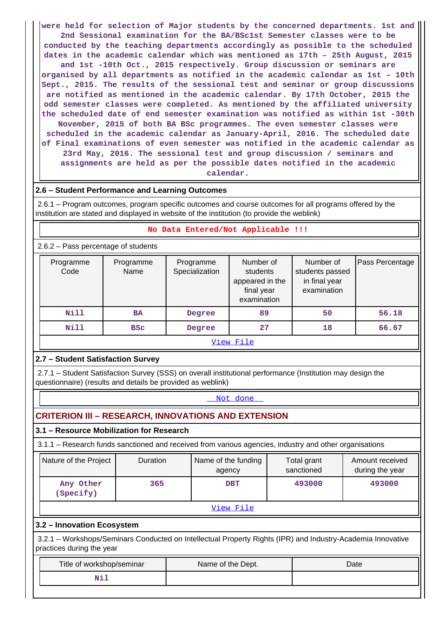**were held for selection of Major students by the concerned departments. 1st and 2nd Sessional examination for the BA/BSc1st Semester classes were to be conducted by the teaching departments accordingly as possible to the scheduled dates in the academic calendar which was mentioned as 17th – 25th August, 2015 and 1st -10th Oct., 2015 respectively. Group discussion or seminars are organised by all departments as notified in the academic calendar as 1st – 10th Sept., 2015. The results of the sessional test and seminar or group discussions are notified as mentioned in the academic calendar. By 17th October, 2015 the odd semester classes were completed. As mentioned by the affiliated university the scheduled date of end semester examination was notified as within 1st -30th November, 2015 of both BA BSc programmes. The even semester classes were scheduled in the academic calendar as January-April, 2016. The scheduled date of Final examinations of even semester was notified in the academic calendar as 23rd May, 2016. The sessional test and group discussion / seminars and assignments are held as per the possible dates notified in the academic calendar.**

# **2.6 – Student Performance and Learning Outcomes**

 2.6.1 – Program outcomes, program specific outcomes and course outcomes for all programs offered by the institution are stated and displayed in website of the institution (to provide the weblink)

### **No Data Entered/Not Applicable !!!**

2.6.2 – Pass percentage of students

| Programme<br>Code | Programme<br>Name | Programme<br>Specialization | Number of<br>students<br>appeared in the<br>final year<br>examination | Number of<br>students passed<br>in final year<br>examination | Pass Percentage |  |  |  |
|-------------------|-------------------|-----------------------------|-----------------------------------------------------------------------|--------------------------------------------------------------|-----------------|--|--|--|
| Nill              | <b>BA</b>         | Degree                      | 89                                                                    | 50                                                           | 56.18           |  |  |  |
| Nill              | <b>BSC</b>        | Degree                      | 27                                                                    | 18                                                           | 66.67           |  |  |  |
| View File         |                   |                             |                                                                       |                                                              |                 |  |  |  |

# **2.7 – Student Satisfaction Survey**

 2.7.1 – Student Satisfaction Survey (SSS) on overall institutional performance (Institution may design the questionnaire) (results and details be provided as weblink)

#### <Not done>

# **CRITERION III – RESEARCH, INNOVATIONS AND EXTENSION**

**3.1 – Resource Mobilization for Research**

3.1.1 – Research funds sanctioned and received from various agencies, industry and other organisations

| Nature of the Project  | <b>Duration</b> | Name of the funding<br>agency | Total grant<br>sanctioned | Amount received<br>during the year |  |  |  |
|------------------------|-----------------|-------------------------------|---------------------------|------------------------------------|--|--|--|
| Any Other<br>(Specify) | 365             | <b>DBT</b>                    | 493000                    | 493000                             |  |  |  |
| View File              |                 |                               |                           |                                    |  |  |  |

# **3.2 – Innovation Ecosystem**

 3.2.1 – Workshops/Seminars Conducted on Intellectual Property Rights (IPR) and Industry-Academia Innovative practices during the year

| Title of workshop/seminar | Name of the Dept. | Date |
|---------------------------|-------------------|------|
| NII                       |                   |      |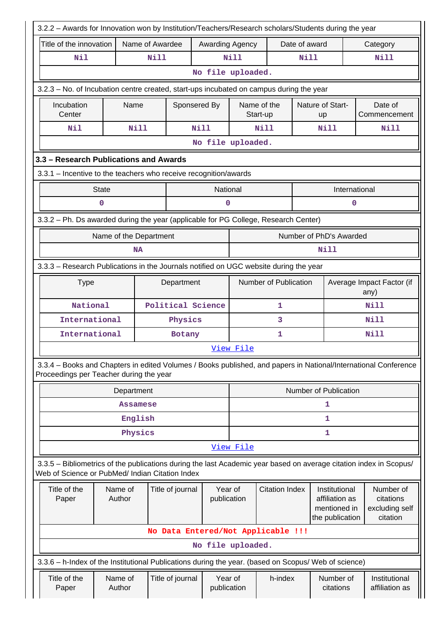|                                                                                                                                                                       | 3.2.2 - Awards for Innovation won by Institution/Teachers/Research scholars/Students during the year |                                    |                                                 |                        |                         |                               |                                                                    |                                                      |  |
|-----------------------------------------------------------------------------------------------------------------------------------------------------------------------|------------------------------------------------------------------------------------------------------|------------------------------------|-------------------------------------------------|------------------------|-------------------------|-------------------------------|--------------------------------------------------------------------|------------------------------------------------------|--|
| Title of the innovation                                                                                                                                               |                                                                                                      | Name of Awardee                    |                                                 | Awarding Agency        |                         | Date of award                 |                                                                    | Category                                             |  |
| Nil                                                                                                                                                                   |                                                                                                      | <b>Nill</b>                        |                                                 | <b>Nill</b>            |                         | <b>Nill</b>                   |                                                                    | Nill                                                 |  |
|                                                                                                                                                                       |                                                                                                      |                                    | No file uploaded.                               |                        |                         |                               |                                                                    |                                                      |  |
| 3.2.3 - No. of Incubation centre created, start-ups incubated on campus during the year                                                                               |                                                                                                      |                                    |                                                 |                        |                         |                               |                                                                    |                                                      |  |
| Incubation<br>Center                                                                                                                                                  | Name                                                                                                 |                                    | Sponsered By                                    |                        | Name of the<br>Start-up | Nature of Start-<br><b>up</b> |                                                                    | Date of<br>Commencement                              |  |
| Nil                                                                                                                                                                   | <b>Nill</b>                                                                                          |                                    | <b>Nill</b>                                     |                        | <b>Nill</b>             |                               | Nill                                                               | Nill                                                 |  |
|                                                                                                                                                                       |                                                                                                      |                                    | No file uploaded.                               |                        |                         |                               |                                                                    |                                                      |  |
| 3.3 - Research Publications and Awards                                                                                                                                |                                                                                                      |                                    |                                                 |                        |                         |                               |                                                                    |                                                      |  |
| 3.3.1 - Incentive to the teachers who receive recognition/awards                                                                                                      |                                                                                                      |                                    |                                                 |                        |                         |                               |                                                                    |                                                      |  |
|                                                                                                                                                                       | <b>State</b>                                                                                         |                                    |                                                 | National               |                         |                               | International                                                      |                                                      |  |
|                                                                                                                                                                       | $\mathbf 0$                                                                                          |                                    |                                                 | 0                      |                         |                               | 0                                                                  |                                                      |  |
| 3.3.2 - Ph. Ds awarded during the year (applicable for PG College, Research Center)                                                                                   |                                                                                                      |                                    |                                                 |                        |                         |                               |                                                                    |                                                      |  |
|                                                                                                                                                                       | Name of the Department<br>Number of PhD's Awarded                                                    |                                    |                                                 |                        |                         |                               |                                                                    |                                                      |  |
|                                                                                                                                                                       | <b>NA</b>                                                                                            |                                    |                                                 |                        |                         |                               | Nill                                                               |                                                      |  |
| 3.3.3 - Research Publications in the Journals notified on UGC website during the year                                                                                 |                                                                                                      |                                    |                                                 |                        |                         |                               |                                                                    |                                                      |  |
| <b>Type</b><br>Department                                                                                                                                             |                                                                                                      |                                    |                                                 |                        | Number of Publication   |                               |                                                                    | Average Impact Factor (if<br>any)                    |  |
| National                                                                                                                                                              |                                                                                                      | Political Science                  |                                                 |                        | 1                       |                               |                                                                    | Nill                                                 |  |
| International                                                                                                                                                         |                                                                                                      | Physics                            |                                                 |                        | 3                       |                               |                                                                    | Nill                                                 |  |
| International                                                                                                                                                         |                                                                                                      | Botany                             |                                                 |                        | $\mathbf{1}$            |                               |                                                                    | <b>Nill</b>                                          |  |
|                                                                                                                                                                       |                                                                                                      |                                    |                                                 | View File              |                         |                               |                                                                    |                                                      |  |
| 3.3.4 - Books and Chapters in edited Volumes / Books published, and papers in National/International Conference<br>Proceedings per Teacher during the year            |                                                                                                      |                                    |                                                 |                        |                         |                               |                                                                    |                                                      |  |
|                                                                                                                                                                       | Department                                                                                           |                                    |                                                 |                        |                         |                               | Number of Publication                                              |                                                      |  |
|                                                                                                                                                                       | <b>Assamese</b>                                                                                      |                                    |                                                 |                        | 1                       |                               |                                                                    |                                                      |  |
|                                                                                                                                                                       | English                                                                                              |                                    |                                                 |                        |                         |                               | 1                                                                  |                                                      |  |
|                                                                                                                                                                       | Physics                                                                                              |                                    |                                                 |                        |                         |                               | 1                                                                  |                                                      |  |
|                                                                                                                                                                       |                                                                                                      |                                    |                                                 | View File              |                         |                               |                                                                    |                                                      |  |
| 3.3.5 - Bibliometrics of the publications during the last Academic year based on average citation index in Scopus/<br>Web of Science or PubMed/ Indian Citation Index |                                                                                                      |                                    |                                                 |                        |                         |                               |                                                                    |                                                      |  |
| Title of the<br>Paper                                                                                                                                                 | Name of<br>Author                                                                                    | Title of journal                   | Year of<br><b>Citation Index</b><br>publication |                        |                         |                               | Institutional<br>affiliation as<br>mentioned in<br>the publication | Number of<br>citations<br>excluding self<br>citation |  |
|                                                                                                                                                                       |                                                                                                      | No Data Entered/Not Applicable !!! |                                                 |                        |                         |                               |                                                                    |                                                      |  |
|                                                                                                                                                                       | No file uploaded.                                                                                    |                                    |                                                 |                        |                         |                               |                                                                    |                                                      |  |
| 3.3.6 - h-Index of the Institutional Publications during the year. (based on Scopus/ Web of science)                                                                  |                                                                                                      |                                    |                                                 |                        |                         |                               |                                                                    |                                                      |  |
| Title of the<br>Paper                                                                                                                                                 | Name of<br>Author                                                                                    | Title of journal                   |                                                 | Year of<br>publication | h-index                 |                               | Number of<br>citations                                             | Institutional<br>affiliation as                      |  |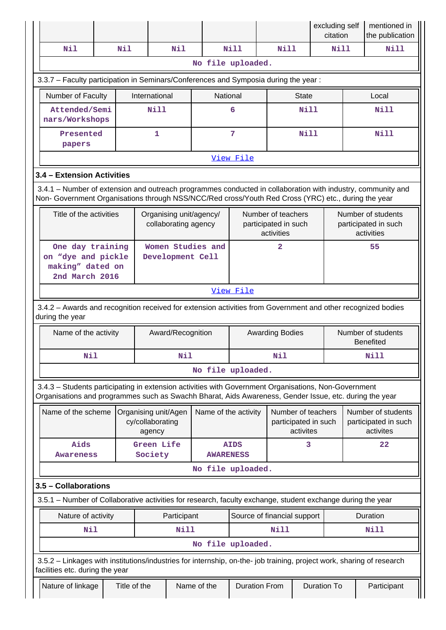|                                                                                                                                                                                                                |                                                                                                                                                                                                                    |                      |                            |                                                  |                         |                             |                                                          |                                                         | excluding self<br>citation |  | mentioned in<br>the publication                          |
|----------------------------------------------------------------------------------------------------------------------------------------------------------------------------------------------------------------|--------------------------------------------------------------------------------------------------------------------------------------------------------------------------------------------------------------------|----------------------|----------------------------|--------------------------------------------------|-------------------------|-----------------------------|----------------------------------------------------------|---------------------------------------------------------|----------------------------|--|----------------------------------------------------------|
| Nil                                                                                                                                                                                                            |                                                                                                                                                                                                                    | Nil                  |                            | Nil                                              |                         | Nill                        | Nill                                                     |                                                         | Nill                       |  | Nill                                                     |
|                                                                                                                                                                                                                |                                                                                                                                                                                                                    |                      |                            |                                                  | No file uploaded.       |                             |                                                          |                                                         |                            |  |                                                          |
|                                                                                                                                                                                                                | 3.3.7 - Faculty participation in Seminars/Conferences and Symposia during the year:                                                                                                                                |                      |                            |                                                  |                         |                             |                                                          |                                                         |                            |  |                                                          |
| Number of Faculty                                                                                                                                                                                              |                                                                                                                                                                                                                    |                      | International              |                                                  | National                |                             | <b>State</b>                                             |                                                         | Local                      |  |                                                          |
| Attended/Semi<br>nars/Workshops                                                                                                                                                                                |                                                                                                                                                                                                                    |                      | Nill                       |                                                  |                         | 6                           |                                                          | Nill                                                    |                            |  | Nill                                                     |
| Presented<br>papers                                                                                                                                                                                            |                                                                                                                                                                                                                    |                      | $\mathbf{1}$               |                                                  |                         | $\overline{7}$              |                                                          | Nill                                                    |                            |  | Nill                                                     |
|                                                                                                                                                                                                                |                                                                                                                                                                                                                    |                      |                            |                                                  |                         | View File                   |                                                          |                                                         |                            |  |                                                          |
|                                                                                                                                                                                                                | 3.4 - Extension Activities                                                                                                                                                                                         |                      |                            |                                                  |                         |                             |                                                          |                                                         |                            |  |                                                          |
|                                                                                                                                                                                                                | 3.4.1 - Number of extension and outreach programmes conducted in collaboration with industry, community and<br>Non- Government Organisations through NSS/NCC/Red cross/Youth Red Cross (YRC) etc., during the year |                      |                            |                                                  |                         |                             |                                                          |                                                         |                            |  |                                                          |
| Title of the activities                                                                                                                                                                                        |                                                                                                                                                                                                                    |                      |                            | collaborating agency                             | Organising unit/agency/ |                             | Number of teachers<br>participated in such<br>activities |                                                         |                            |  | Number of students<br>participated in such<br>activities |
| One day training<br>on "dye and pickle<br>making" dated on<br>2nd March 2016                                                                                                                                   |                                                                                                                                                                                                                    |                      |                            | Women Studies and<br>2<br>55<br>Development Cell |                         |                             |                                                          |                                                         |                            |  |                                                          |
|                                                                                                                                                                                                                |                                                                                                                                                                                                                    |                      |                            |                                                  |                         | View File                   |                                                          |                                                         |                            |  |                                                          |
| 3.4.2 - Awards and recognition received for extension activities from Government and other recognized bodies<br>during the year                                                                                |                                                                                                                                                                                                                    |                      |                            |                                                  |                         |                             |                                                          |                                                         |                            |  |                                                          |
| Name of the activity                                                                                                                                                                                           |                                                                                                                                                                                                                    |                      |                            | Award/Recognition                                |                         | <b>Awarding Bodies</b>      |                                                          |                                                         |                            |  | Number of students<br><b>Benefited</b>                   |
| Nil                                                                                                                                                                                                            |                                                                                                                                                                                                                    |                      |                            | Nil                                              |                         | Nil                         |                                                          |                                                         | Nill                       |  |                                                          |
|                                                                                                                                                                                                                |                                                                                                                                                                                                                    |                      |                            |                                                  | No file uploaded.       |                             |                                                          |                                                         |                            |  |                                                          |
| 3.4.3 - Students participating in extension activities with Government Organisations, Non-Government<br>Organisations and programmes such as Swachh Bharat, Aids Awareness, Gender Issue, etc. during the year |                                                                                                                                                                                                                    |                      |                            |                                                  |                         |                             |                                                          |                                                         |                            |  |                                                          |
| Name of the scheme                                                                                                                                                                                             |                                                                                                                                                                                                                    | Organising unit/Agen | cy/collaborating<br>agency |                                                  | Name of the activity    |                             |                                                          | Number of teachers<br>participated in such<br>activites |                            |  | Number of students<br>participated in such<br>activites  |
| Aids<br><b>Awareness</b>                                                                                                                                                                                       |                                                                                                                                                                                                                    |                      | Green Life<br>Society      |                                                  | <b>AWARENESS</b>        | <b>AIDS</b>                 |                                                          | 3                                                       |                            |  | 22                                                       |
|                                                                                                                                                                                                                |                                                                                                                                                                                                                    |                      |                            |                                                  | No file uploaded.       |                             |                                                          |                                                         |                            |  |                                                          |
| 3.5 - Collaborations                                                                                                                                                                                           |                                                                                                                                                                                                                    |                      |                            |                                                  |                         |                             |                                                          |                                                         |                            |  |                                                          |
| 3.5.1 – Number of Collaborative activities for research, faculty exchange, student exchange during the year                                                                                                    |                                                                                                                                                                                                                    |                      |                            |                                                  |                         |                             |                                                          |                                                         |                            |  |                                                          |
| Nature of activity                                                                                                                                                                                             |                                                                                                                                                                                                                    |                      |                            | Participant                                      |                         | Source of financial support |                                                          |                                                         |                            |  | Duration                                                 |
| Nil                                                                                                                                                                                                            |                                                                                                                                                                                                                    |                      |                            | Nill                                             |                         |                             | <b>Nill</b>                                              |                                                         |                            |  | <b>Nill</b>                                              |
|                                                                                                                                                                                                                |                                                                                                                                                                                                                    |                      |                            |                                                  | No file uploaded.       |                             |                                                          |                                                         |                            |  |                                                          |
| 3.5.2 - Linkages with institutions/industries for internship, on-the- job training, project work, sharing of research<br>facilities etc. during the year                                                       |                                                                                                                                                                                                                    |                      |                            |                                                  |                         |                             |                                                          |                                                         |                            |  |                                                          |
| Nature of linkage                                                                                                                                                                                              |                                                                                                                                                                                                                    | Title of the         |                            |                                                  | Name of the             | <b>Duration From</b>        |                                                          |                                                         | <b>Duration To</b>         |  | Participant                                              |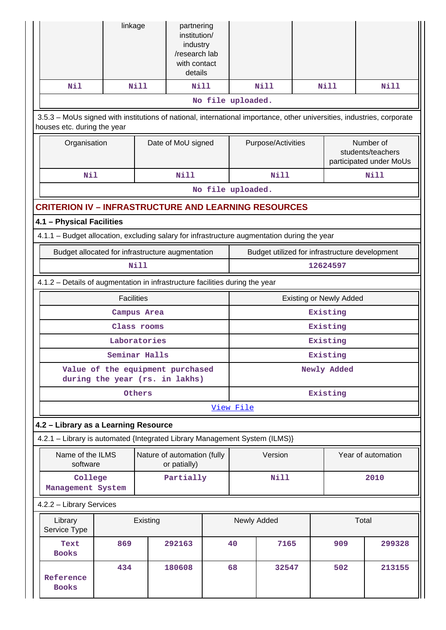|                                                                                                                                                       | linkage           |               | partnering<br>institution/<br>industry<br>/research lab<br>with contact<br>details |  |                   |                    |  |                                |                                                           |
|-------------------------------------------------------------------------------------------------------------------------------------------------------|-------------------|---------------|------------------------------------------------------------------------------------|--|-------------------|--------------------|--|--------------------------------|-----------------------------------------------------------|
| Nil                                                                                                                                                   |                   | <b>Nill</b>   | <b>Nill</b>                                                                        |  |                   | <b>Nill</b>        |  | <b>Nill</b>                    | Nill                                                      |
|                                                                                                                                                       |                   |               |                                                                                    |  | No file uploaded. |                    |  |                                |                                                           |
| 3.5.3 - MoUs signed with institutions of national, international importance, other universities, industries, corporate<br>houses etc. during the year |                   |               |                                                                                    |  |                   |                    |  |                                |                                                           |
|                                                                                                                                                       | Organisation      |               | Date of MoU signed                                                                 |  |                   | Purpose/Activities |  |                                | Number of<br>students/teachers<br>participated under MoUs |
| Nil                                                                                                                                                   |                   |               | <b>Nill</b>                                                                        |  |                   | Nill               |  |                                | <b>Nill</b>                                               |
|                                                                                                                                                       |                   |               |                                                                                    |  | No file uploaded. |                    |  |                                |                                                           |
| <b>CRITERION IV - INFRASTRUCTURE AND LEARNING RESOURCES</b>                                                                                           |                   |               |                                                                                    |  |                   |                    |  |                                |                                                           |
| 4.1 - Physical Facilities                                                                                                                             |                   |               |                                                                                    |  |                   |                    |  |                                |                                                           |
| 4.1.1 - Budget allocation, excluding salary for infrastructure augmentation during the year                                                           |                   |               |                                                                                    |  |                   |                    |  |                                |                                                           |
| Budget allocated for infrastructure augmentation                                                                                                      |                   |               |                                                                                    |  |                   |                    |  |                                | Budget utilized for infrastructure development            |
| <b>Nill</b>                                                                                                                                           |                   |               |                                                                                    |  | 12624597          |                    |  |                                |                                                           |
| 4.1.2 - Details of augmentation in infrastructure facilities during the year                                                                          |                   |               |                                                                                    |  |                   |                    |  |                                |                                                           |
|                                                                                                                                                       | <b>Facilities</b> |               |                                                                                    |  |                   |                    |  | <b>Existing or Newly Added</b> |                                                           |
| Campus Area                                                                                                                                           |                   |               |                                                                                    |  |                   |                    |  | Existing                       |                                                           |
|                                                                                                                                                       |                   | Class rooms   |                                                                                    |  |                   |                    |  | Existing                       |                                                           |
|                                                                                                                                                       |                   | Laboratories  |                                                                                    |  |                   |                    |  | Existing                       |                                                           |
|                                                                                                                                                       |                   | Seminar Halls |                                                                                    |  | Existing          |                    |  |                                |                                                           |
| Value of the equipment purchased<br>during the year (rs. in lakhs)                                                                                    |                   |               |                                                                                    |  | Newly Added       |                    |  |                                |                                                           |
|                                                                                                                                                       |                   | Others        |                                                                                    |  | Existing          |                    |  |                                |                                                           |
|                                                                                                                                                       |                   |               |                                                                                    |  | View File         |                    |  |                                |                                                           |
| 4.2 - Library as a Learning Resource                                                                                                                  |                   |               |                                                                                    |  |                   |                    |  |                                |                                                           |
| 4.2.1 - Library is automated {Integrated Library Management System (ILMS)}                                                                            |                   |               |                                                                                    |  |                   |                    |  |                                |                                                           |
| Name of the ILMS<br>software                                                                                                                          |                   |               | Nature of automation (fully<br>or patially)                                        |  |                   | Version            |  |                                | Year of automation                                        |
| College<br>Management System                                                                                                                          |                   |               | Partially                                                                          |  |                   | <b>Nill</b>        |  |                                | 2010                                                      |
| 4.2.2 - Library Services                                                                                                                              |                   |               |                                                                                    |  |                   |                    |  |                                |                                                           |
| Library<br>Service Type                                                                                                                               |                   | Existing      |                                                                                    |  | Newly Added       |                    |  |                                | Total                                                     |
| Text<br><b>Books</b>                                                                                                                                  | 869               |               | 292163                                                                             |  | 40                | 7165               |  | 909                            | 299328                                                    |
| Reference<br><b>Books</b>                                                                                                                             | 434               |               | 180608                                                                             |  | 68<br>32547       |                    |  | 502                            | 213155                                                    |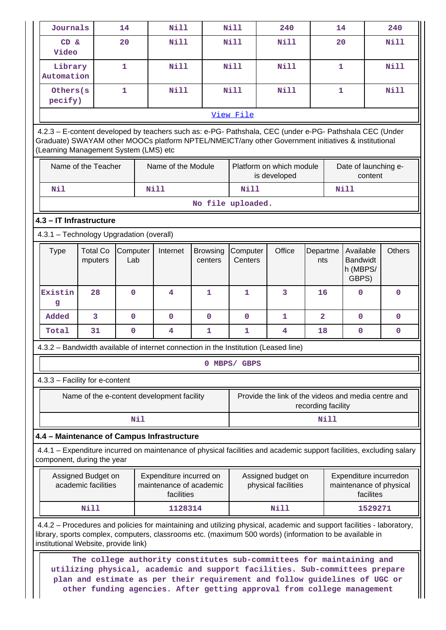| Journals                                                                                                                                           |                                                                                                                                                                                                                                                                          | 14              | <b>Nill</b>                                        |                            | <b>Nill</b>                                            | 240                                                                                                                                                                                                                                                                                                         |                    | 14           |                              | 240                    |
|----------------------------------------------------------------------------------------------------------------------------------------------------|--------------------------------------------------------------------------------------------------------------------------------------------------------------------------------------------------------------------------------------------------------------------------|-----------------|----------------------------------------------------|----------------------------|--------------------------------------------------------|-------------------------------------------------------------------------------------------------------------------------------------------------------------------------------------------------------------------------------------------------------------------------------------------------------------|--------------------|--------------|------------------------------|------------------------|
| $CD \&$                                                                                                                                            |                                                                                                                                                                                                                                                                          | 20              | Nill                                               |                            | Nill                                                   | Nill                                                                                                                                                                                                                                                                                                        |                    | 20           |                              | <b>Nill</b>            |
| Video                                                                                                                                              |                                                                                                                                                                                                                                                                          |                 |                                                    |                            |                                                        |                                                                                                                                                                                                                                                                                                             |                    |              |                              |                        |
| Library<br>Automation                                                                                                                              |                                                                                                                                                                                                                                                                          | $\mathbf{1}$    | <b>Nill</b>                                        |                            | <b>Nill</b>                                            | Nill                                                                                                                                                                                                                                                                                                        |                    | $\mathbf{1}$ |                              | <b>Nill</b>            |
| Others (s                                                                                                                                          |                                                                                                                                                                                                                                                                          | $\mathbf{1}$    | <b>Nill</b>                                        |                            | <b>Nill</b>                                            | <b>Nill</b>                                                                                                                                                                                                                                                                                                 |                    | $\mathbf{1}$ |                              | <b>Nill</b>            |
|                                                                                                                                                    | pecify)                                                                                                                                                                                                                                                                  |                 |                                                    |                            |                                                        |                                                                                                                                                                                                                                                                                                             |                    |              |                              |                        |
|                                                                                                                                                    | View File<br>4.2.3 - E-content developed by teachers such as: e-PG- Pathshala, CEC (under e-PG- Pathshala CEC (Under                                                                                                                                                     |                 |                                                    |                            |                                                        |                                                                                                                                                                                                                                                                                                             |                    |              |                              |                        |
| Graduate) SWAYAM other MOOCs platform NPTEL/NMEICT/any other Government initiatives & institutional<br>(Learning Management System (LMS) etc       |                                                                                                                                                                                                                                                                          |                 |                                                    |                            |                                                        |                                                                                                                                                                                                                                                                                                             |                    |              |                              |                        |
|                                                                                                                                                    | Name of the Teacher                                                                                                                                                                                                                                                      |                 | Name of the Module                                 |                            |                                                        | Platform on which module<br>is developed                                                                                                                                                                                                                                                                    |                    |              | content                      | Date of launching e-   |
| Nil                                                                                                                                                |                                                                                                                                                                                                                                                                          |                 | Nill                                               |                            | <b>Nill</b>                                            |                                                                                                                                                                                                                                                                                                             |                    |              | <b>Nill</b>                  |                        |
|                                                                                                                                                    |                                                                                                                                                                                                                                                                          |                 |                                                    | No file uploaded.          |                                                        |                                                                                                                                                                                                                                                                                                             |                    |              |                              |                        |
| 4.3 - IT Infrastructure                                                                                                                            |                                                                                                                                                                                                                                                                          |                 |                                                    |                            |                                                        |                                                                                                                                                                                                                                                                                                             |                    |              |                              |                        |
| 4.3.1 - Technology Upgradation (overall)                                                                                                           |                                                                                                                                                                                                                                                                          |                 |                                                    |                            |                                                        |                                                                                                                                                                                                                                                                                                             |                    |              |                              |                        |
| <b>Type</b>                                                                                                                                        | <b>Total Co</b><br>mputers                                                                                                                                                                                                                                               | Computer<br>Lab | Internet                                           | <b>Browsing</b><br>centers | Computer<br>Centers                                    | Office                                                                                                                                                                                                                                                                                                      | Departme<br>nts    |              | Available<br><b>Bandwidt</b> | <b>Others</b>          |
|                                                                                                                                                    |                                                                                                                                                                                                                                                                          |                 |                                                    |                            |                                                        |                                                                                                                                                                                                                                                                                                             |                    |              | h (MBPS/<br>GBPS)            |                        |
| Existin<br>g                                                                                                                                       | 28                                                                                                                                                                                                                                                                       | $\Omega$        | 4                                                  | 1                          | $\mathbf{1}$                                           | 3                                                                                                                                                                                                                                                                                                           | 16                 |              | 0                            | $\mathbf 0$            |
| Added                                                                                                                                              | 3                                                                                                                                                                                                                                                                        | $\mathbf 0$     | $\mathbf{0}$                                       | $\mathbf 0$                | $\mathbf 0$                                            | 1                                                                                                                                                                                                                                                                                                           | $\overline{a}$     |              | 0                            | 0                      |
| Total                                                                                                                                              | 31                                                                                                                                                                                                                                                                       | $\pmb{0}$       | $\overline{\mathbf{4}}$                            | 1                          | $\overline{\mathbf{4}}$<br>1<br>18<br>0<br>$\mathbf 0$ |                                                                                                                                                                                                                                                                                                             |                    |              |                              |                        |
| 4.3.2 – Bandwidth available of internet connection in the Institution (Leased line)                                                                |                                                                                                                                                                                                                                                                          |                 |                                                    |                            |                                                        |                                                                                                                                                                                                                                                                                                             |                    |              |                              |                        |
|                                                                                                                                                    |                                                                                                                                                                                                                                                                          |                 |                                                    |                            | 0 MBPS/ GBPS                                           |                                                                                                                                                                                                                                                                                                             |                    |              |                              |                        |
| 4.3.3 - Facility for e-content                                                                                                                     |                                                                                                                                                                                                                                                                          |                 |                                                    |                            |                                                        |                                                                                                                                                                                                                                                                                                             |                    |              |                              |                        |
|                                                                                                                                                    |                                                                                                                                                                                                                                                                          |                 | Name of the e-content development facility         |                            |                                                        | Provide the link of the videos and media centre and                                                                                                                                                                                                                                                         | recording facility |              |                              |                        |
|                                                                                                                                                    |                                                                                                                                                                                                                                                                          | Nil             |                                                    |                            |                                                        |                                                                                                                                                                                                                                                                                                             |                    | Nill         |                              |                        |
| 4.4 - Maintenance of Campus Infrastructure                                                                                                         |                                                                                                                                                                                                                                                                          |                 |                                                    |                            |                                                        |                                                                                                                                                                                                                                                                                                             |                    |              |                              |                        |
| 4.4.1 – Expenditure incurred on maintenance of physical facilities and academic support facilities, excluding salary<br>component, during the year |                                                                                                                                                                                                                                                                          |                 |                                                    |                            |                                                        |                                                                                                                                                                                                                                                                                                             |                    |              |                              |                        |
|                                                                                                                                                    | Assigned Budget on<br>academic facilities                                                                                                                                                                                                                                |                 | Expenditure incurred on<br>maintenance of academic |                            |                                                        | Assigned budget on<br>physical facilities                                                                                                                                                                                                                                                                   |                    |              |                              | Expenditure incurredon |
|                                                                                                                                                    | maintenance of physical<br>facilities<br>facilites                                                                                                                                                                                                                       |                 |                                                    |                            |                                                        |                                                                                                                                                                                                                                                                                                             |                    |              |                              |                        |
|                                                                                                                                                    | Nill                                                                                                                                                                                                                                                                     |                 | 1128314                                            |                            |                                                        | Nill                                                                                                                                                                                                                                                                                                        |                    |              |                              | 1529271                |
|                                                                                                                                                    | 4.4.2 – Procedures and policies for maintaining and utilizing physical, academic and support facilities - laboratory,<br>library, sports complex, computers, classrooms etc. (maximum 500 words) (information to be available in<br>institutional Website, provide link) |                 |                                                    |                            |                                                        |                                                                                                                                                                                                                                                                                                             |                    |              |                              |                        |
|                                                                                                                                                    |                                                                                                                                                                                                                                                                          |                 |                                                    |                            |                                                        | The college authority constitutes sub-committees for maintaining and<br>utilizing physical, academic and support facilities. Sub-committees prepare<br>plan and estimate as per their requirement and follow guidelines of UGC or<br>other funding agencies. After getting approval from college management |                    |              |                              |                        |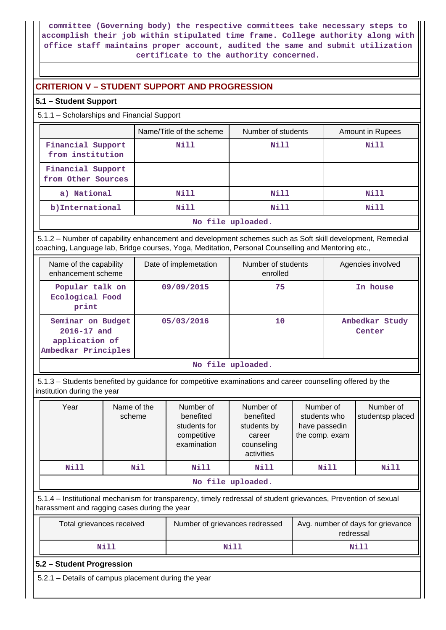**committee (Governing body) the respective committees take necessary steps to accomplish their job within stipulated time frame. College authority along with office staff maintains proper account, audited the same and submit utilization certificate to the authority concerned.**

# **CRITERION V – STUDENT SUPPORT AND PROGRESSION**

# **5.1 – Student Support**

5.1.1 – Scholarships and Financial Support

|                                         | Name/Title of the scheme | Number of students | Amount in Rupees |  |  |  |
|-----------------------------------------|--------------------------|--------------------|------------------|--|--|--|
| Financial Support<br>from institution   | Nill                     | Nill               | Nill             |  |  |  |
| Financial Support<br>from Other Sources |                          |                    |                  |  |  |  |
| a) National                             | Nill                     | Nill               | Nill             |  |  |  |
| b) International                        | Nill                     | Nill               | Nill             |  |  |  |
| No file uploaded.                       |                          |                    |                  |  |  |  |

 5.1.2 – Number of capability enhancement and development schemes such as Soft skill development, Remedial coaching, Language lab, Bridge courses, Yoga, Meditation, Personal Counselling and Mentoring etc.,

| Name of the capability<br>enhancement scheme                                  | Date of implemetation | Number of students<br>enrolled | Agencies involved        |
|-------------------------------------------------------------------------------|-----------------------|--------------------------------|--------------------------|
| Popular talk on<br>Ecological Food<br>print                                   | 09/09/2015            | 75                             | In house                 |
| Seminar on Budget<br>$2016 - 17$ and<br>application of<br>Ambedkar Principles | 05/03/2016            | 10                             | Ambedkar Study<br>Center |

**No file uploaded.**

 5.1.3 – Students benefited by guidance for competitive examinations and career counselling offered by the institution during the year

| Year | Name of the<br>scheme | Number of<br>benefited<br>students for<br>competitive<br>examination | Number of<br>benefited<br>students by<br>career<br>counseling<br>activities | Number of<br>students who<br>have passedin<br>the comp. exam | Number of<br>studentsp placed |  |  |  |  |
|------|-----------------------|----------------------------------------------------------------------|-----------------------------------------------------------------------------|--------------------------------------------------------------|-------------------------------|--|--|--|--|
| N111 | N11                   | Nill                                                                 | Nill                                                                        | Nill                                                         | Nill                          |  |  |  |  |
|      | No file uploaded.     |                                                                      |                                                                             |                                                              |                               |  |  |  |  |

 5.1.4 – Institutional mechanism for transparency, timely redressal of student grievances, Prevention of sexual harassment and ragging cases during the year

| Total grievances received | Number of grievances redressed | Avg. number of days for grievance<br>redressal |
|---------------------------|--------------------------------|------------------------------------------------|
| Nill                      | Nil)                           | Nill                                           |

# **5.2 – Student Progression**

5.2.1 – Details of campus placement during the year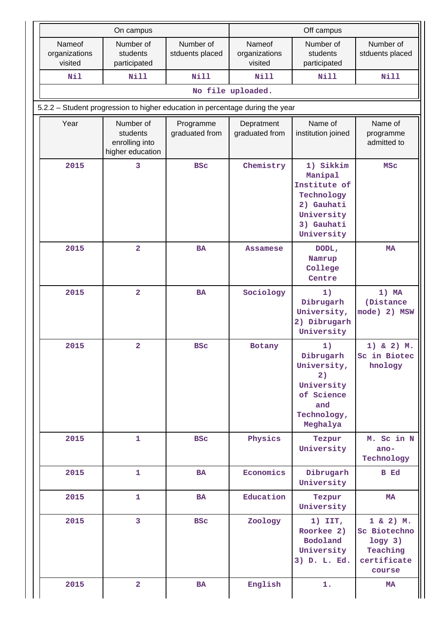|                                    | On campus                                                                     |                              | Off campus                         |                                                                                                            |                                                                               |  |  |  |  |  |
|------------------------------------|-------------------------------------------------------------------------------|------------------------------|------------------------------------|------------------------------------------------------------------------------------------------------------|-------------------------------------------------------------------------------|--|--|--|--|--|
| Nameof<br>organizations<br>visited | Number of<br>students<br>participated                                         | Number of<br>stduents placed | Nameof<br>organizations<br>visited | Number of<br>students<br>participated                                                                      | Number of<br>stduents placed                                                  |  |  |  |  |  |
| Nil                                | <b>Nill</b>                                                                   | <b>Nill</b>                  | <b>Nill</b>                        | <b>Nill</b>                                                                                                | <b>Nill</b>                                                                   |  |  |  |  |  |
|                                    | No file uploaded.                                                             |                              |                                    |                                                                                                            |                                                                               |  |  |  |  |  |
|                                    | 5.2.2 - Student progression to higher education in percentage during the year |                              |                                    |                                                                                                            |                                                                               |  |  |  |  |  |
| Year                               | Number of<br>students<br>enrolling into<br>higher education                   | Programme<br>graduated from  | Depratment<br>graduated from       | Name of<br>institution joined                                                                              | Name of<br>programme<br>admitted to                                           |  |  |  |  |  |
| 2015                               | 3                                                                             | <b>BSC</b>                   | Chemistry                          | 1) Sikkim<br>Manipal<br>Institute of<br>Technology<br>2) Gauhati<br>University<br>3) Gauhati<br>University | <b>MSC</b>                                                                    |  |  |  |  |  |
| 2015                               | $\overline{2}$                                                                | <b>BA</b>                    | <b>Assamese</b>                    | DODL,<br>Namrup<br>College<br>Centre                                                                       | <b>MA</b>                                                                     |  |  |  |  |  |
| 2015                               | $\overline{\mathbf{2}}$                                                       | <b>BA</b>                    | Sociology                          | 1)<br>Dibrugarh<br>University,<br>2) Dibrugarh<br>University                                               | $1)$ MA<br>(Distance<br>mode) 2) MSW                                          |  |  |  |  |  |
| 2015                               | $\overline{\mathbf{2}}$                                                       | <b>BSC</b>                   | Botany                             | 1)<br>Dibrugarh<br>University,<br>2)<br>University<br>of Science<br>and<br>Technology,<br>Meghalya         | $1)$ & 2) M.<br>Sc in Biotec<br>hnology                                       |  |  |  |  |  |
| 2015                               | 1                                                                             | <b>BSC</b>                   | Physics                            | Tezpur<br>University                                                                                       | M. Sc in N<br>ano-<br>Technology                                              |  |  |  |  |  |
| 2015                               | $\mathbf{1}$                                                                  | <b>BA</b>                    | Economics                          | Dibrugarh<br>University                                                                                    | <b>B</b> Ed                                                                   |  |  |  |  |  |
| 2015                               | 1                                                                             | BA                           | Education                          | Tezpur<br>University                                                                                       | MA                                                                            |  |  |  |  |  |
| 2015                               | 3                                                                             | <b>BSC</b>                   | Zoology                            | $1)$ IIT,<br>Roorkee 2)<br>Bodoland<br>University<br>3) D. L. Ed.                                          | $1 & 2)$ M.<br>Sc Biotechno<br>$logy$ 3)<br>Teaching<br>certificate<br>course |  |  |  |  |  |
| 2015                               | $\overline{\mathbf{2}}$                                                       | BA                           | English                            | 1.                                                                                                         | MA                                                                            |  |  |  |  |  |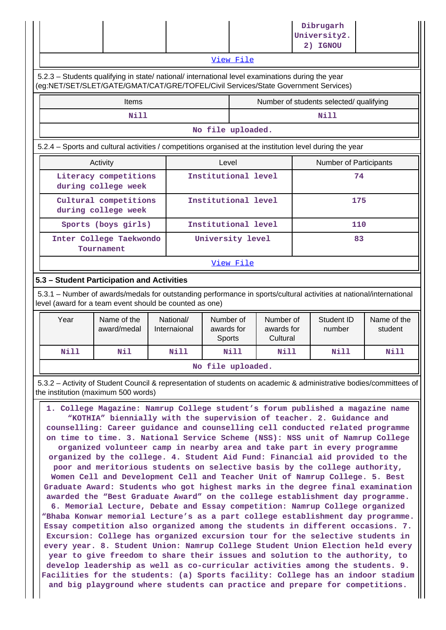|                                                                                                                                                                                        |                                                                                                                                                           |                            |                                                                          |      |  | Dibrugarh<br>University2.<br>2) IGNOU   |                        |  |
|----------------------------------------------------------------------------------------------------------------------------------------------------------------------------------------|-----------------------------------------------------------------------------------------------------------------------------------------------------------|----------------------------|--------------------------------------------------------------------------|------|--|-----------------------------------------|------------------------|--|
|                                                                                                                                                                                        | View File                                                                                                                                                 |                            |                                                                          |      |  |                                         |                        |  |
| 5.2.3 - Students qualifying in state/ national/ international level examinations during the year<br>(eg:NET/SET/SLET/GATE/GMAT/CAT/GRE/TOFEL/Civil Services/State Government Services) |                                                                                                                                                           |                            |                                                                          |      |  |                                         |                        |  |
|                                                                                                                                                                                        | <b>Items</b>                                                                                                                                              |                            |                                                                          |      |  | Number of students selected/ qualifying |                        |  |
|                                                                                                                                                                                        | Nill                                                                                                                                                      |                            |                                                                          |      |  | <b>Nill</b>                             |                        |  |
|                                                                                                                                                                                        |                                                                                                                                                           |                            | No file uploaded.                                                        |      |  |                                         |                        |  |
| 5.2.4 - Sports and cultural activities / competitions organised at the institution level during the year                                                                               |                                                                                                                                                           |                            |                                                                          |      |  |                                         |                        |  |
| Activity                                                                                                                                                                               |                                                                                                                                                           |                            | Level                                                                    |      |  | Number of Participants                  |                        |  |
| Literacy competitions<br>during college week                                                                                                                                           |                                                                                                                                                           |                            | Institutional level                                                      |      |  | 74                                      |                        |  |
| Cultural competitions<br>during college week                                                                                                                                           |                                                                                                                                                           | Institutional level<br>175 |                                                                          |      |  |                                         |                        |  |
| Sports (boys girls)                                                                                                                                                                    |                                                                                                                                                           |                            | Institutional level<br>110                                               |      |  |                                         |                        |  |
| Inter College Taekwondo<br>Tournament                                                                                                                                                  |                                                                                                                                                           |                            | University level                                                         | 83   |  |                                         |                        |  |
|                                                                                                                                                                                        |                                                                                                                                                           |                            | View File                                                                |      |  |                                         |                        |  |
| 5.3 - Student Participation and Activities                                                                                                                                             |                                                                                                                                                           |                            |                                                                          |      |  |                                         |                        |  |
| 5.3.1 – Number of awards/medals for outstanding performance in sports/cultural activities at national/international<br>level (award for a team event should be counted as one)         |                                                                                                                                                           |                            |                                                                          |      |  |                                         |                        |  |
| Year                                                                                                                                                                                   | Name of the<br>award/medal                                                                                                                                | National/<br>Internaional  | Number of<br>Number of<br>awards for<br>awards for<br>Cultural<br>Sports |      |  | Student ID<br>number                    | Name of the<br>student |  |
| Nill                                                                                                                                                                                   | Nil                                                                                                                                                       | Nill                       | Nill                                                                     | Nill |  | Nill                                    | Nill                   |  |
|                                                                                                                                                                                        |                                                                                                                                                           |                            | No file uploaded.                                                        |      |  |                                         |                        |  |
|                                                                                                                                                                                        | 5.3.2 - Activity of Student Council & representation of students on academic & administrative bodies/committees of<br>the institution (maximum 500 words) |                            |                                                                          |      |  |                                         |                        |  |

 **1. College Magazine: Namrup College student's forum published a magazine name "KOTHIA" biennially with the supervision of teacher. 2. Guidance and counselling: Career guidance and counselling cell conducted related programme on time to time. 3. National Service Scheme (NSS): NSS unit of Namrup College organized volunteer camp in nearby area and take part in every programme organized by the college. 4. Student Aid Fund: Financial aid provided to the poor and meritorious students on selective basis by the college authority, Women Cell and Development Cell and Teacher Unit of Namrup College. 5. Best Graduate Award: Students who got highest marks in the degree final examination awarded the "Best Graduate Award" on the college establishment day programme. 6. Memorial Lecture, Debate and Essay competition: Namrup College organized "Bhaba Konwar memorial Lecture's as a part college establishment day programme. Essay competition also organized among the students in different occasions. 7. Excursion: College has organized excursion tour for the selective students in every year. 8. Student Union: Namrup College Student Union Election held every year to give freedom to share their issues and solution to the authority, to develop leadership as well as co-curricular activities among the students. 9. Facilities for the students: (a) Sports facility: College has an indoor stadium and big playground where students can practice and prepare for competitions.**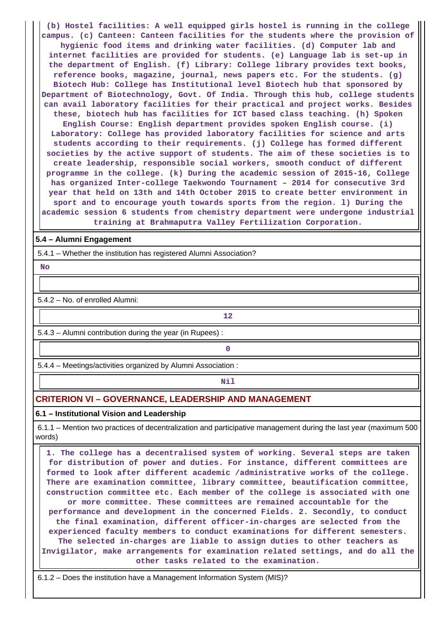**(b) Hostel facilities: A well equipped girls hostel is running in the college campus. (c) Canteen: Canteen facilities for the students where the provision of hygienic food items and drinking water facilities. (d) Computer lab and internet facilities are provided for students. (e) Language lab is set-up in the department of English. (f) Library: College library provides text books, reference books, magazine, journal, news papers etc. For the students. (g) Biotech Hub: College has Institutional level Biotech hub that sponsored by Department of Biotechnology, Govt. Of India. Through this hub, college students can avail laboratory facilities for their practical and project works. Besides these, biotech hub has facilities for ICT based class teaching. (h) Spoken English Course: English department provides spoken English course. (i) Laboratory: College has provided laboratory facilities for science and arts students according to their requirements. (j) College has formed different societies by the active support of students. The aim of these societies is to create leadership, responsible social workers, smooth conduct of different programme in the college. (k) During the academic session of 2015-16, College has organized Inter-college Taekwondo Tournament – 2014 for consecutive 3rd year that held on 13th and 14th October 2015 to create better environment in sport and to encourage youth towards sports from the region. l) During the academic session 6 students from chemistry department were undergone industrial training at Brahmaputra Valley Fertilization Corporation.**

### **5.4 – Alumni Engagement**

5.4.1 – Whether the institution has registered Alumni Association?

 **No**

5.4.2 – No. of enrolled Alumni:

**12**

5.4.3 – Alumni contribution during the year (in Rupees) :

**0**

5.4.4 – Meetings/activities organized by Alumni Association :

**Nil** 

# **CRITERION VI – GOVERNANCE, LEADERSHIP AND MANAGEMENT**

### **6.1 – Institutional Vision and Leadership**

 6.1.1 – Mention two practices of decentralization and participative management during the last year (maximum 500 words)

 **1. The college has a decentralised system of working. Several steps are taken for distribution of power and duties. For instance, different committees are formed to look after different academic /administrative works of the college. There are examination committee, library committee, beautification committee, construction committee etc. Each member of the college is associated with one or more committee. These committees are remained accountable for the performance and development in the concerned Fields. 2. Secondly, to conduct the final examination, different officer-in-charges are selected from the experienced faculty members to conduct examinations for different semesters. The selected in-charges are liable to assign duties to other teachers as Invigilator, make arrangements for examination related settings, and do all the other tasks related to the examination.**

6.1.2 – Does the institution have a Management Information System (MIS)?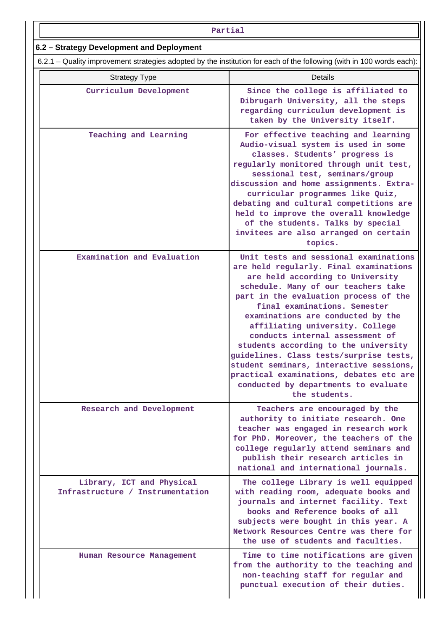### **Partial**

# **6.2 – Strategy Development and Deployment**

6.2.1 – Quality improvement strategies adopted by the institution for each of the following (with in 100 words each):

| <b>Strategy Type</b>                                          | Details                                                                                                                                                                                                                                                                                                                                                                                                                                                                                                                                                                          |
|---------------------------------------------------------------|----------------------------------------------------------------------------------------------------------------------------------------------------------------------------------------------------------------------------------------------------------------------------------------------------------------------------------------------------------------------------------------------------------------------------------------------------------------------------------------------------------------------------------------------------------------------------------|
| Curriculum Development                                        | Since the college is affiliated to<br>Dibrugarh University, all the steps<br>regarding curriculum development is<br>taken by the University itself.                                                                                                                                                                                                                                                                                                                                                                                                                              |
| Teaching and Learning                                         | For effective teaching and learning<br>Audio-visual system is used in some<br>classes. Students' progress is<br>regularly monitored through unit test,<br>sessional test, seminars/group<br>discussion and home assignments. Extra-<br>curricular programmes like Quiz,<br>debating and cultural competitions are<br>held to improve the overall knowledge<br>of the students. Talks by special<br>invitees are also arranged on certain<br>topics.                                                                                                                              |
| Examination and Evaluation                                    | Unit tests and sessional examinations<br>are held regularly. Final examinations<br>are held according to University<br>schedule. Many of our teachers take<br>part in the evaluation process of the<br>final examinations. Semester<br>examinations are conducted by the<br>affiliating university. College<br>conducts internal assessment of<br>students according to the university<br>guidelines. Class tests/surprise tests,<br>student seminars, interactive sessions,<br>practical examinations, debates etc are<br>conducted by departments to evaluate<br>the students. |
| Research and Development                                      | Teachers are encouraged by the<br>authority to initiate research. One<br>teacher was engaged in research work<br>for PhD. Moreover, the teachers of the<br>college regularly attend seminars and<br>publish their research articles in<br>national and international journals.                                                                                                                                                                                                                                                                                                   |
| Library, ICT and Physical<br>Infrastructure / Instrumentation | The college Library is well equipped<br>with reading room, adequate books and<br>journals and internet facility. Text<br>books and Reference books of all<br>subjects were bought in this year. A<br>Network Resources Centre was there for<br>the use of students and faculties.                                                                                                                                                                                                                                                                                                |
| Human Resource Management                                     | Time to time notifications are given<br>from the authority to the teaching and<br>non-teaching staff for regular and<br>punctual execution of their duties.                                                                                                                                                                                                                                                                                                                                                                                                                      |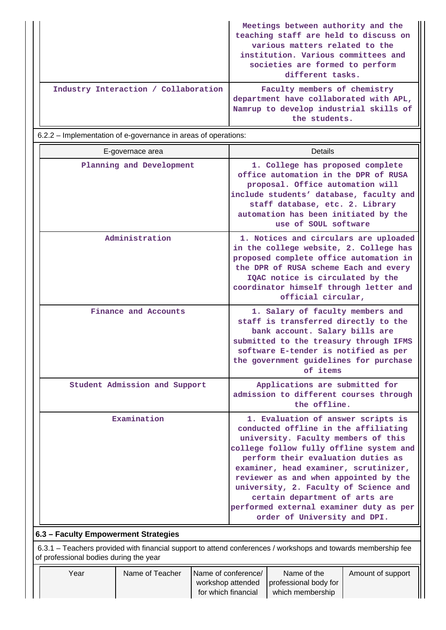|                                      | Meetings between authority and the<br>teaching staff are held to discuss on<br>various matters related to the<br>institution. Various committees and<br>societies are formed to perform<br>different tasks. |
|--------------------------------------|-------------------------------------------------------------------------------------------------------------------------------------------------------------------------------------------------------------|
| Industry Interaction / Collaboration | Faculty members of chemistry<br>department have collaborated with APL,<br>Namrup to develop industrial skills of<br>the students.                                                                           |

6.2.2 – Implementation of e-governance in areas of operations:

| E-governace area                     | Details                                                                                                                                                                                                                                                                                                                                                                                                                                    |
|--------------------------------------|--------------------------------------------------------------------------------------------------------------------------------------------------------------------------------------------------------------------------------------------------------------------------------------------------------------------------------------------------------------------------------------------------------------------------------------------|
| Planning and Development             | 1. College has proposed complete<br>office automation in the DPR of RUSA<br>proposal. Office automation will<br>include students' database, faculty and<br>staff database, etc. 2. Library<br>automation has been initiated by the<br>use of SOUL software                                                                                                                                                                                 |
| Administration                       | 1. Notices and circulars are uploaded<br>in the college website, 2. College has<br>proposed complete office automation in<br>the DPR of RUSA scheme Each and every<br>IQAC notice is circulated by the<br>coordinator himself through letter and<br>official circular,                                                                                                                                                                     |
| Finance and Accounts                 | 1. Salary of faculty members and<br>staff is transferred directly to the<br>bank account. Salary bills are<br>submitted to the treasury through IFMS<br>software E-tender is notified as per<br>the government guidelines for purchase<br>of items                                                                                                                                                                                         |
| Student Admission and Support        | Applications are submitted for<br>admission to different courses through<br>the offline.                                                                                                                                                                                                                                                                                                                                                   |
| Examination                          | 1. Evaluation of answer scripts is<br>conducted offline in the affiliating<br>university. Faculty members of this<br>college follow fully offline system and<br>perform their evaluation duties as<br>examiner, head examiner, scrutinizer,<br>reviewer as and when appointed by the<br>university, 2. Faculty of Science and<br>certain department of arts are<br>performed external examiner duty as per<br>order of University and DPI. |
| 6.3 - Faculty Empowerment Strategies |                                                                                                                                                                                                                                                                                                                                                                                                                                            |

 6.3.1 – Teachers provided with financial support to attend conferences / workshops and towards membership fee of professional bodies during the year

| Year | Name of Teacher | Name of conference/ | Name of the                               | Amount of support |
|------|-----------------|---------------------|-------------------------------------------|-------------------|
|      |                 |                     | workshop attended   professional body for |                   |
|      |                 | for which financial | which membership                          |                   |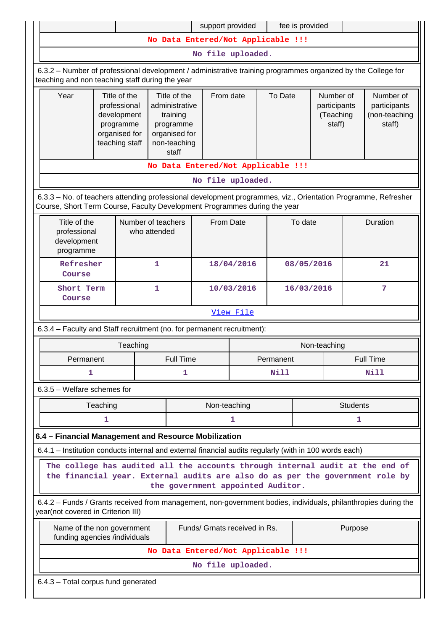|                                                                                                                                                                                                     |                                                                                                                                                      |                                                                                             |                  | support provided                                                                                               |            |            | fee is provided                                             |             |                 |                                                      |
|-----------------------------------------------------------------------------------------------------------------------------------------------------------------------------------------------------|------------------------------------------------------------------------------------------------------------------------------------------------------|---------------------------------------------------------------------------------------------|------------------|----------------------------------------------------------------------------------------------------------------|------------|------------|-------------------------------------------------------------|-------------|-----------------|------------------------------------------------------|
|                                                                                                                                                                                                     |                                                                                                                                                      |                                                                                             |                  | No Data Entered/Not Applicable !!!                                                                             |            |            |                                                             |             |                 |                                                      |
|                                                                                                                                                                                                     |                                                                                                                                                      |                                                                                             |                  | No file uploaded.                                                                                              |            |            |                                                             |             |                 |                                                      |
| 6.3.2 – Number of professional development / administrative training programmes organized by the College for<br>teaching and non teaching staff during the year                                     |                                                                                                                                                      |                                                                                             |                  |                                                                                                                |            |            |                                                             |             |                 |                                                      |
| Year                                                                                                                                                                                                |                                                                                                                                                      | Title of the<br>professional<br>development<br>programme<br>organised for<br>teaching staff |                  | Title of the<br>From date<br>administrative<br>training<br>programme<br>organised for<br>non-teaching<br>staff |            |            | To Date<br>Number of<br>participants<br>(Teaching<br>staff) |             |                 | Number of<br>participants<br>(non-teaching<br>staff) |
|                                                                                                                                                                                                     |                                                                                                                                                      |                                                                                             |                  | No Data Entered/Not Applicable !!!                                                                             |            |            |                                                             |             |                 |                                                      |
|                                                                                                                                                                                                     |                                                                                                                                                      |                                                                                             |                  | No file uploaded.                                                                                              |            |            |                                                             |             |                 |                                                      |
| 6.3.3 - No. of teachers attending professional development programmes, viz., Orientation Programme, Refresher<br>Course, Short Term Course, Faculty Development Programmes during the year          |                                                                                                                                                      |                                                                                             |                  |                                                                                                                |            |            |                                                             |             |                 |                                                      |
| Title of the<br>professional<br>development<br>programme                                                                                                                                            | Number of teachers<br>From Date<br>who attended                                                                                                      |                                                                                             | To date          |                                                                                                                |            | Duration   |                                                             |             |                 |                                                      |
| Refresher<br>Course                                                                                                                                                                                 |                                                                                                                                                      | 1                                                                                           |                  |                                                                                                                | 18/04/2016 | 08/05/2016 |                                                             |             | 21              |                                                      |
| Short Term<br>Course                                                                                                                                                                                |                                                                                                                                                      | $\mathbf{1}$                                                                                |                  |                                                                                                                | 10/03/2016 | 16/03/2016 |                                                             |             | $\overline{7}$  |                                                      |
|                                                                                                                                                                                                     | View File                                                                                                                                            |                                                                                             |                  |                                                                                                                |            |            |                                                             |             |                 |                                                      |
| 6.3.4 - Faculty and Staff recruitment (no. for permanent recruitment):                                                                                                                              |                                                                                                                                                      |                                                                                             |                  |                                                                                                                |            |            |                                                             |             |                 |                                                      |
|                                                                                                                                                                                                     |                                                                                                                                                      | Teaching                                                                                    |                  |                                                                                                                |            |            | Non-teaching                                                |             |                 |                                                      |
| Permanent                                                                                                                                                                                           |                                                                                                                                                      |                                                                                             | <b>Full Time</b> |                                                                                                                |            | Permanent  |                                                             |             |                 | <b>Full Time</b>                                     |
| 1                                                                                                                                                                                                   |                                                                                                                                                      |                                                                                             | 1                |                                                                                                                | Nill       |            |                                                             | <b>Nill</b> |                 |                                                      |
| 6.3.5 - Welfare schemes for                                                                                                                                                                         |                                                                                                                                                      |                                                                                             |                  |                                                                                                                |            |            |                                                             |             |                 |                                                      |
|                                                                                                                                                                                                     | Teaching                                                                                                                                             |                                                                                             |                  | Non-teaching                                                                                                   |            |            |                                                             |             | <b>Students</b> |                                                      |
|                                                                                                                                                                                                     | 1                                                                                                                                                    |                                                                                             |                  |                                                                                                                | 1          |            |                                                             |             | 1.              |                                                      |
| 6.4 - Financial Management and Resource Mobilization                                                                                                                                                |                                                                                                                                                      |                                                                                             |                  |                                                                                                                |            |            |                                                             |             |                 |                                                      |
| 6.4.1 - Institution conducts internal and external financial audits regularly (with in 100 words each)                                                                                              |                                                                                                                                                      |                                                                                             |                  |                                                                                                                |            |            |                                                             |             |                 |                                                      |
| The college has audited all the accounts through internal audit at the end of<br>the financial year. External audits are also do as per the government role by<br>the government appointed Auditor. |                                                                                                                                                      |                                                                                             |                  |                                                                                                                |            |            |                                                             |             |                 |                                                      |
|                                                                                                                                                                                                     | 6.4.2 - Funds / Grants received from management, non-government bodies, individuals, philanthropies during the<br>year(not covered in Criterion III) |                                                                                             |                  |                                                                                                                |            |            |                                                             |             |                 |                                                      |
| Name of the non government<br>funding agencies /individuals                                                                                                                                         |                                                                                                                                                      |                                                                                             |                  | Funds/ Grnats received in Rs.                                                                                  |            |            |                                                             |             | Purpose         |                                                      |
|                                                                                                                                                                                                     |                                                                                                                                                      |                                                                                             |                  | No Data Entered/Not Applicable !!!                                                                             |            |            |                                                             |             |                 |                                                      |
|                                                                                                                                                                                                     |                                                                                                                                                      |                                                                                             |                  | No file uploaded.                                                                                              |            |            |                                                             |             |                 |                                                      |
| 6.4.3 - Total corpus fund generated                                                                                                                                                                 |                                                                                                                                                      |                                                                                             |                  |                                                                                                                |            |            |                                                             |             |                 |                                                      |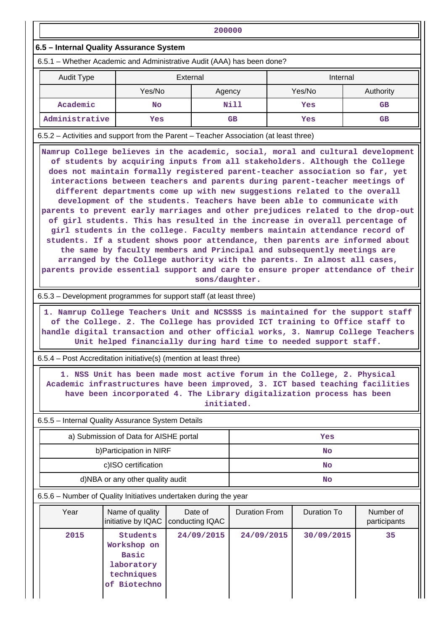|                                                                                                                                                                                                                                                                                                                                                                                                                                                                                                                                                                                                                                                                                                                                                                                                                                                                                                                                                                                  |                                                                                     | 200000                                                                                                                                                                                                                                          |                      |  |             |                           |
|----------------------------------------------------------------------------------------------------------------------------------------------------------------------------------------------------------------------------------------------------------------------------------------------------------------------------------------------------------------------------------------------------------------------------------------------------------------------------------------------------------------------------------------------------------------------------------------------------------------------------------------------------------------------------------------------------------------------------------------------------------------------------------------------------------------------------------------------------------------------------------------------------------------------------------------------------------------------------------|-------------------------------------------------------------------------------------|-------------------------------------------------------------------------------------------------------------------------------------------------------------------------------------------------------------------------------------------------|----------------------|--|-------------|---------------------------|
| 6.5 - Internal Quality Assurance System                                                                                                                                                                                                                                                                                                                                                                                                                                                                                                                                                                                                                                                                                                                                                                                                                                                                                                                                          |                                                                                     |                                                                                                                                                                                                                                                 |                      |  |             |                           |
| 6.5.1 – Whether Academic and Administrative Audit (AAA) has been done?                                                                                                                                                                                                                                                                                                                                                                                                                                                                                                                                                                                                                                                                                                                                                                                                                                                                                                           |                                                                                     |                                                                                                                                                                                                                                                 |                      |  |             |                           |
| Audit Type                                                                                                                                                                                                                                                                                                                                                                                                                                                                                                                                                                                                                                                                                                                                                                                                                                                                                                                                                                       |                                                                                     | External                                                                                                                                                                                                                                        |                      |  | Internal    |                           |
|                                                                                                                                                                                                                                                                                                                                                                                                                                                                                                                                                                                                                                                                                                                                                                                                                                                                                                                                                                                  | Yes/No                                                                              | Agency                                                                                                                                                                                                                                          |                      |  | Yes/No      | Authority                 |
| Academic                                                                                                                                                                                                                                                                                                                                                                                                                                                                                                                                                                                                                                                                                                                                                                                                                                                                                                                                                                         | <b>No</b>                                                                           |                                                                                                                                                                                                                                                 | Nill                 |  | Yes         | <b>GB</b>                 |
| Administrative                                                                                                                                                                                                                                                                                                                                                                                                                                                                                                                                                                                                                                                                                                                                                                                                                                                                                                                                                                   | <b>Yes</b>                                                                          |                                                                                                                                                                                                                                                 | <b>GB</b>            |  | Yes         | <b>GB</b>                 |
| 6.5.2 – Activities and support from the Parent – Teacher Association (at least three)                                                                                                                                                                                                                                                                                                                                                                                                                                                                                                                                                                                                                                                                                                                                                                                                                                                                                            |                                                                                     |                                                                                                                                                                                                                                                 |                      |  |             |                           |
| of students by acquiring inputs from all stakeholders. Although the College<br>does not maintain formally registered parent-teacher association so far, yet<br>interactions between teachers and parents during parent-teacher meetings of<br>different departments come up with new suggestions related to the overall<br>development of the students. Teachers have been able to communicate with<br>parents to prevent early marriages and other prejudices related to the drop-out<br>of girl students. This has resulted in the increase in overall percentage of<br>girl students in the college. Faculty members maintain attendance record of<br>students. If a student shows poor attendance, then parents are informed about<br>the same by faculty members and Principal and subsequently meetings are<br>arranged by the College authority with the parents. In almost all cases,<br>parents provide essential support and care to ensure proper attendance of their |                                                                                     |                                                                                                                                                                                                                                                 |                      |  |             |                           |
| 6.5.3 – Development programmes for support staff (at least three)                                                                                                                                                                                                                                                                                                                                                                                                                                                                                                                                                                                                                                                                                                                                                                                                                                                                                                                |                                                                                     |                                                                                                                                                                                                                                                 |                      |  |             |                           |
| handle digital transaction and other official works, 3. Namrup College Teachers                                                                                                                                                                                                                                                                                                                                                                                                                                                                                                                                                                                                                                                                                                                                                                                                                                                                                                  |                                                                                     | 1. Namrup College Teachers Unit and NCSSSS is maintained for the support staff<br>of the College. 2. The College has provided ICT training to Office staff to<br>Unit helped financially during hard time to needed support staff.              |                      |  |             |                           |
| 6.5.4 – Post Accreditation initiative(s) (mention at least three)                                                                                                                                                                                                                                                                                                                                                                                                                                                                                                                                                                                                                                                                                                                                                                                                                                                                                                                |                                                                                     |                                                                                                                                                                                                                                                 |                      |  |             |                           |
|                                                                                                                                                                                                                                                                                                                                                                                                                                                                                                                                                                                                                                                                                                                                                                                                                                                                                                                                                                                  |                                                                                     | 1. NSS Unit has been made most active forum in the College, 2. Physical<br>Academic infrastructures have been improved, 3. ICT based teaching facilities<br>have been incorporated 4. The Library digitalization process has been<br>initiated. |                      |  |             |                           |
| 6.5.5 - Internal Quality Assurance System Details                                                                                                                                                                                                                                                                                                                                                                                                                                                                                                                                                                                                                                                                                                                                                                                                                                                                                                                                |                                                                                     |                                                                                                                                                                                                                                                 |                      |  |             |                           |
|                                                                                                                                                                                                                                                                                                                                                                                                                                                                                                                                                                                                                                                                                                                                                                                                                                                                                                                                                                                  | a) Submission of Data for AISHE portal                                              |                                                                                                                                                                                                                                                 |                      |  | Yes         |                           |
|                                                                                                                                                                                                                                                                                                                                                                                                                                                                                                                                                                                                                                                                                                                                                                                                                                                                                                                                                                                  | b) Participation in NIRF                                                            |                                                                                                                                                                                                                                                 | <b>No</b>            |  |             |                           |
|                                                                                                                                                                                                                                                                                                                                                                                                                                                                                                                                                                                                                                                                                                                                                                                                                                                                                                                                                                                  | c)ISO certification                                                                 |                                                                                                                                                                                                                                                 |                      |  | No          |                           |
|                                                                                                                                                                                                                                                                                                                                                                                                                                                                                                                                                                                                                                                                                                                                                                                                                                                                                                                                                                                  | d)NBA or any other quality audit                                                    |                                                                                                                                                                                                                                                 |                      |  | No          |                           |
| 6.5.6 - Number of Quality Initiatives undertaken during the year                                                                                                                                                                                                                                                                                                                                                                                                                                                                                                                                                                                                                                                                                                                                                                                                                                                                                                                 |                                                                                     |                                                                                                                                                                                                                                                 |                      |  |             |                           |
| Year                                                                                                                                                                                                                                                                                                                                                                                                                                                                                                                                                                                                                                                                                                                                                                                                                                                                                                                                                                             | Name of quality<br>initiative by IQAC                                               | Date of<br>conducting IQAC                                                                                                                                                                                                                      | <b>Duration From</b> |  | Duration To | Number of<br>participants |
| 2015                                                                                                                                                                                                                                                                                                                                                                                                                                                                                                                                                                                                                                                                                                                                                                                                                                                                                                                                                                             | Students<br>Workshop on<br><b>Basic</b><br>laboratory<br>techniques<br>of Biotechno | 24/09/2015                                                                                                                                                                                                                                      | 24/09/2015           |  | 30/09/2015  | 35                        |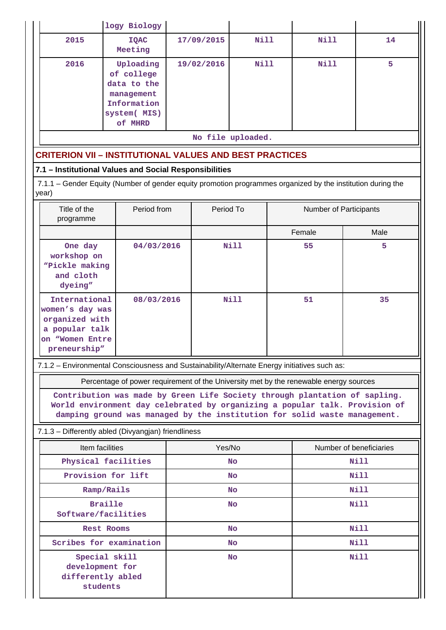|                                                                                                                      | logy Biology                                                                                                                                                                                                                                                                                                                    |           |            |                   |             |                        |                         |
|----------------------------------------------------------------------------------------------------------------------|---------------------------------------------------------------------------------------------------------------------------------------------------------------------------------------------------------------------------------------------------------------------------------------------------------------------------------|-----------|------------|-------------------|-------------|------------------------|-------------------------|
| 2015                                                                                                                 | <b>IQAC</b><br>Meeting                                                                                                                                                                                                                                                                                                          |           | 17/09/2015 | Nill              |             | Nill                   | 14                      |
| 2016                                                                                                                 | Uploading<br>of college<br>data to the<br>management<br>Information<br>system( MIS)<br>of MHRD                                                                                                                                                                                                                                  |           | 19/02/2016 | <b>Nill</b>       |             | Nill                   | 5                       |
|                                                                                                                      |                                                                                                                                                                                                                                                                                                                                 |           |            | No file uploaded. |             |                        |                         |
| <b>CRITERION VII - INSTITUTIONAL VALUES AND BEST PRACTICES</b>                                                       |                                                                                                                                                                                                                                                                                                                                 |           |            |                   |             |                        |                         |
| 7.1 - Institutional Values and Social Responsibilities                                                               |                                                                                                                                                                                                                                                                                                                                 |           |            |                   |             |                        |                         |
| 7.1.1 – Gender Equity (Number of gender equity promotion programmes organized by the institution during the<br>year) |                                                                                                                                                                                                                                                                                                                                 |           |            |                   |             |                        |                         |
| Title of the<br>programme                                                                                            | Period from                                                                                                                                                                                                                                                                                                                     |           | Period To  |                   |             | Number of Participants |                         |
|                                                                                                                      |                                                                                                                                                                                                                                                                                                                                 |           |            |                   |             | Female                 | Male                    |
| One day<br>workshop on<br>"Pickle making<br>and cloth<br>dyeing"                                                     | 04/03/2016                                                                                                                                                                                                                                                                                                                      |           |            | <b>Nill</b>       |             | 55                     | 5                       |
| International<br>women's day was<br>organized with<br>a popular talk<br>on "Women Entre<br>preneurship"              | 08/03/2016                                                                                                                                                                                                                                                                                                                      |           |            | Nill              | 51          |                        | 35                      |
| 7.1.2 - Environmental Consciousness and Sustainability/Alternate Energy initiatives such as:                         |                                                                                                                                                                                                                                                                                                                                 |           |            |                   |             |                        |                         |
|                                                                                                                      | Percentage of power requirement of the University met by the renewable energy sources<br>Contribution was made by Green Life Society through plantation of sapling.<br>World environment day celebrated by organizing a popular talk. Provision of<br>damping ground was managed by the institution for solid waste management. |           |            |                   |             |                        |                         |
| 7.1.3 - Differently abled (Divyangjan) friendliness                                                                  |                                                                                                                                                                                                                                                                                                                                 |           |            |                   |             |                        |                         |
| Item facilities                                                                                                      |                                                                                                                                                                                                                                                                                                                                 |           | Yes/No     |                   |             |                        | Number of beneficiaries |
|                                                                                                                      | Physical facilities                                                                                                                                                                                                                                                                                                             |           |            | <b>No</b>         |             | Nill                   |                         |
|                                                                                                                      | Provision for lift                                                                                                                                                                                                                                                                                                              |           | <b>No</b>  |                   |             | <b>Nill</b>            |                         |
| Ramp/Rails                                                                                                           |                                                                                                                                                                                                                                                                                                                                 |           |            | No                |             | Nill                   |                         |
| <b>Braille</b><br>Software/facilities                                                                                |                                                                                                                                                                                                                                                                                                                                 |           | No         |                   |             |                        | <b>Nill</b>             |
| <b>Rest Rooms</b>                                                                                                    |                                                                                                                                                                                                                                                                                                                                 | <b>No</b> |            |                   |             | <b>Nill</b>            |                         |
|                                                                                                                      | Scribes for examination                                                                                                                                                                                                                                                                                                         |           |            | No                |             |                        | Nill                    |
| development for<br>students                                                                                          | Special skill<br>differently abled                                                                                                                                                                                                                                                                                              | No        |            |                   | <b>Nill</b> |                        |                         |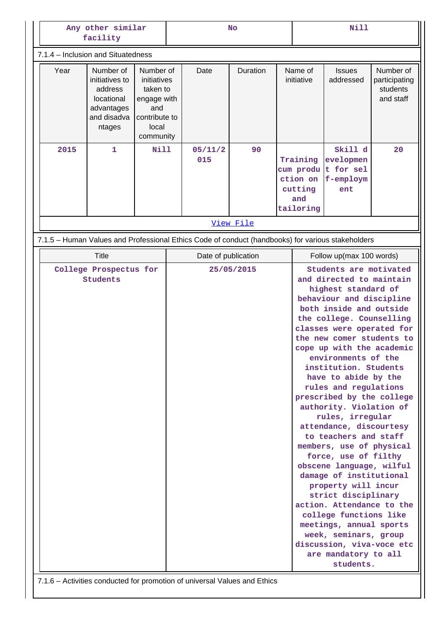| Any other similar<br>facility                                                                                   |                                                                                                   | No                                |                |           | <b>Nill</b> |                                                     |                                                                                                                                                                                                                                                                                                                                                                                                                                                                                                                                                                                                                                                                                                                                                                                                                            |                                                     |
|-----------------------------------------------------------------------------------------------------------------|---------------------------------------------------------------------------------------------------|-----------------------------------|----------------|-----------|-------------|-----------------------------------------------------|----------------------------------------------------------------------------------------------------------------------------------------------------------------------------------------------------------------------------------------------------------------------------------------------------------------------------------------------------------------------------------------------------------------------------------------------------------------------------------------------------------------------------------------------------------------------------------------------------------------------------------------------------------------------------------------------------------------------------------------------------------------------------------------------------------------------------|-----------------------------------------------------|
| 7.1.4 - Inclusion and Situatedness                                                                              |                                                                                                   |                                   |                |           |             |                                                     |                                                                                                                                                                                                                                                                                                                                                                                                                                                                                                                                                                                                                                                                                                                                                                                                                            |                                                     |
| Number of<br>Year<br>initiatives to<br>address<br>locational<br>advantages<br>and disadva<br>ntages             | Number of<br>initiatives<br>taken to<br>engage with<br>and<br>contribute to<br>local<br>community |                                   | Date           | Duration  |             | Name of<br>initiative                               | <b>Issues</b><br>addressed                                                                                                                                                                                                                                                                                                                                                                                                                                                                                                                                                                                                                                                                                                                                                                                                 | Number of<br>participating<br>students<br>and staff |
| 2015<br>$\mathbf{1}$                                                                                            | Nill                                                                                              |                                   | 05/11/2<br>015 | 90        |             | Training<br>ction on<br>cutting<br>and<br>tailoring | Skill d<br>evelopmen<br>cum produ t for sel<br>f-employm<br>ent                                                                                                                                                                                                                                                                                                                                                                                                                                                                                                                                                                                                                                                                                                                                                            | 20                                                  |
|                                                                                                                 |                                                                                                   |                                   |                | View File |             |                                                     |                                                                                                                                                                                                                                                                                                                                                                                                                                                                                                                                                                                                                                                                                                                                                                                                                            |                                                     |
| 7.1.5 - Human Values and Professional Ethics Code of conduct (handbooks) for various stakeholders               |                                                                                                   |                                   |                |           |             |                                                     |                                                                                                                                                                                                                                                                                                                                                                                                                                                                                                                                                                                                                                                                                                                                                                                                                            |                                                     |
| <b>Title</b>                                                                                                    |                                                                                                   |                                   |                |           |             |                                                     | Follow up(max 100 words)                                                                                                                                                                                                                                                                                                                                                                                                                                                                                                                                                                                                                                                                                                                                                                                                   |                                                     |
| College Prospectus for<br>Students<br>7.1.6 - Activities conducted for promotion of universal Values and Ethics |                                                                                                   | Date of publication<br>25/05/2015 |                |           |             |                                                     | Students are motivated<br>and directed to maintain<br>highest standard of<br>behaviour and discipline<br>both inside and outside<br>the college. Counselling<br>classes were operated for<br>the new comer students to<br>cope up with the academic<br>environments of the<br>institution. Students<br>have to abide by the<br>rules and regulations<br>prescribed by the college<br>authority. Violation of<br>rules, irregular<br>attendance, discourtesy<br>to teachers and staff<br>members, use of physical<br>force, use of filthy<br>obscene language, wilful<br>damage of institutional<br>property will incur<br>strict disciplinary<br>action. Attendance to the<br>college functions like<br>meetings, annual sports<br>week, seminars, group<br>discussion, viva-voce etc<br>are mandatory to all<br>students. |                                                     |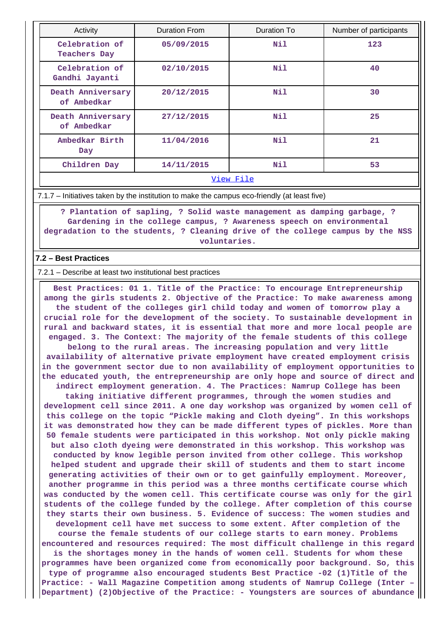| Activity                                                                     | Duration From | Duration To | Number of participants |  |  |  |  |
|------------------------------------------------------------------------------|---------------|-------------|------------------------|--|--|--|--|
| Celebration of<br><b>Teachers Day</b>                                        | 05/09/2015    | Nil         | 123                    |  |  |  |  |
| Celebration of<br>Gandhi Jayanti                                             | 02/10/2015    | Nil         | 40                     |  |  |  |  |
| Death Anniversary<br>of Ambedkar                                             | 20/12/2015    | Nil         | 30                     |  |  |  |  |
| Death Anniversary<br>of Ambedkar                                             | 27/12/2015    | Nil         | 25                     |  |  |  |  |
| Ambedkar Birth<br>Day                                                        | 11/04/2016    | Nil         | 21                     |  |  |  |  |
| Children Day                                                                 | 14/11/2015    | Nil         | 53                     |  |  |  |  |
| $\overline{374}$ and $\overline{17}$ and $\overline{17}$ and $\overline{17}$ |               |             |                        |  |  |  |  |

#### [View File](https://assessmentonline.naac.gov.in/public/Postacc/promotion_activities/8167_promotion_activities_1629981800.xlsx)

7.1.7 – Initiatives taken by the institution to make the campus eco-friendly (at least five)

 **? Plantation of sapling, ? Solid waste management as damping garbage, ? Gardening in the college campus, ? Awareness speech on environmental degradation to the students, ? Cleaning drive of the college campus by the NSS voluntaries.**

### **7.2 – Best Practices**

7.2.1 – Describe at least two institutional best practices

 **Best Practices: 01 1. Title of the Practice: To encourage Entrepreneurship among the girls students 2. Objective of the Practice: To make awareness among the student of the colleges girl child today and women of tomorrow play a crucial role for the development of the society. To sustainable development in rural and backward states, it is essential that more and more local people are engaged. 3. The Context: The majority of the female students of this college belong to the rural areas. The increasing population and very little availability of alternative private employment have created employment crisis in the government sector due to non availability of employment opportunities to the educated youth, the entrepreneurship are only hope and source of direct and indirect employment generation. 4. The Practices: Namrup College has been taking initiative different programmes, through the women studies and development cell since 2011. A one day workshop was organized by women cell of this college on the topic "Pickle making and Cloth dyeing". In this workshops it was demonstrated how they can be made different types of pickles. More than 50 female students were participated in this workshop. Not only pickle making but also cloth dyeing were demonstrated in this workshop. This workshop was conducted by know legible person invited from other college. This workshop helped student and upgrade their skill of students and them to start income generating activities of their own or to get gainfully employment. Moreover, another programme in this period was a three months certificate course which was conducted by the women cell. This certificate course was only for the girl students of the college funded by the college. After completion of this course they starts their own business. 5. Evidence of success: The women studies and development cell have met success to some extent. After completion of the course the female students of our college starts to earn money. Problems encountered and resources required: The most difficult challenge in this regard is the shortages money in the hands of women cell. Students for whom these programmes have been organized come from economically poor background. So, this type of programme also encouraged students Best Practice -02 (1)Title of the Practice: - Wall Magazine Competition among students of Namrup College (Inter –**

**Department) (2)Objective of the Practice: - Youngsters are sources of abundance**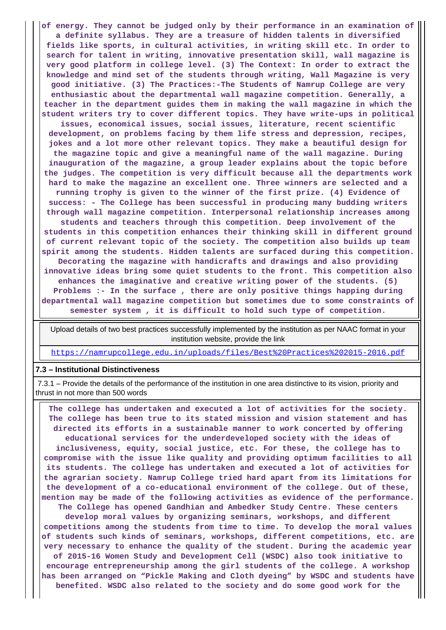**of energy. They cannot be judged only by their performance in an examination of a definite syllabus. They are a treasure of hidden talents in diversified fields like sports, in cultural activities, in writing skill etc. In order to search for talent in writing, innovative presentation skill, wall magazine is very good platform in college level. (3) The Context: In order to extract the knowledge and mind set of the students through writing, Wall Magazine is very good initiative. (3) The Practices:-The Students of Namrup College are very enthusiastic about the departmental wall magazine competition. Generally, a teacher in the department guides them in making the wall magazine in which the student writers try to cover different topics. They have write-ups in political issues, economical issues, social issues, literature, recent scientific development, on problems facing by them life stress and depression, recipes, jokes and a lot more other relevant topics. They make a beautiful design for the magazine topic and give a meaningful name of the wall magazine. During inauguration of the magazine, a group leader explains about the topic before the judges. The competition is very difficult because all the departments work hard to make the magazine an excellent one. Three winners are selected and a running trophy is given to the winner of the first prize. (4) Evidence of success: - The College has been successful in producing many budding writers through wall magazine competition. Interpersonal relationship increases among students and teachers through this competition. Deep involvement of the students in this competition enhances their thinking skill in different ground of current relevant topic of the society. The competition also builds up team spirit among the students. Hidden talents are surfaced during this competition. Decorating the magazine with handicrafts and drawings and also providing innovative ideas bring some quiet students to the front. This competition also enhances the imaginative and creative writing power of the students. (5) Problems :- In the surface , there are only positive things happing during departmental wall magazine competition but sometimes due to some constraints of semester system , it is difficult to hold such type of competition.**

 Upload details of two best practices successfully implemented by the institution as per NAAC format in your institution website, provide the link

<https://namrupcollege.edu.in/uploads/files/Best%20Practices%202015-2016.pdf>

#### **7.3 – Institutional Distinctiveness**

 7.3.1 – Provide the details of the performance of the institution in one area distinctive to its vision, priority and thrust in not more than 500 words

 **The college has undertaken and executed a lot of activities for the society. The college has been true to its stated mission and vision statement and has directed its efforts in a sustainable manner to work concerted by offering educational services for the underdeveloped society with the ideas of inclusiveness, equity, social justice, etc. For these, the college has to compromise with the issue like quality and providing optimum facilities to all its students. The college has undertaken and executed a lot of activities for the agrarian society. Namrup College tried hard apart from its limitations for the development of a co-educational environment of the college. Out of these, mention may be made of the following activities as evidence of the performance. The College has opened Gandhian and Ambedker Study Centre. These centers develop moral values by organizing seminars, workshops, and different competitions among the students from time to time. To develop the moral values of students such kinds of seminars, workshops, different competitions, etc. are very necessary to enhance the quality of the student. During the academic year of 2015-16 Women Study and Development Cell (WSDC) also took initiative to encourage entrepreneurship among the girl students of the college. A workshop has been arranged on "Pickle Making and Cloth dyeing" by WSDC and students have benefited. WSDC also related to the society and do some good work for the**